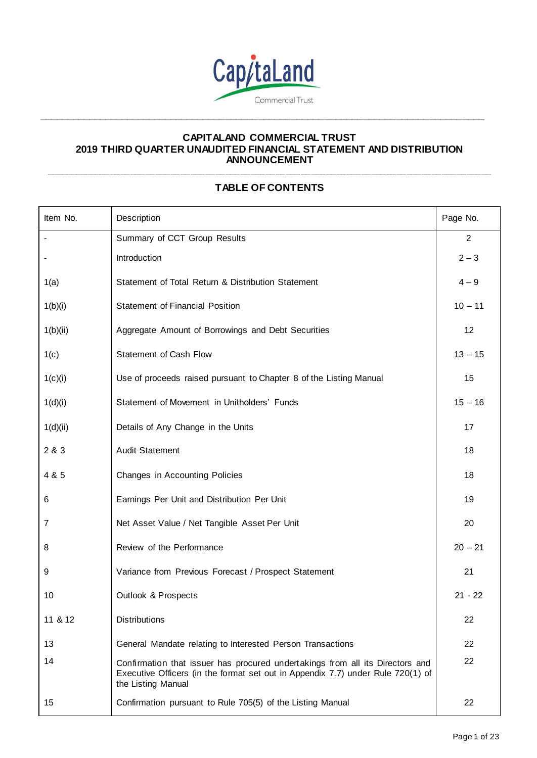

**\_\_\_\_\_\_\_\_\_\_\_\_\_\_\_\_\_\_\_\_\_\_\_\_\_\_\_\_\_\_\_\_\_\_\_\_\_\_\_\_\_\_\_\_\_\_\_\_\_\_\_\_\_\_\_\_\_\_\_\_\_\_\_\_\_\_\_\_\_\_\_\_\_\_\_\_\_\_\_\_\_**

## **CAPITALAND COMMERCIAL TRUST 2019 THIRD QUARTER UNAUDITED FINANCIAL STATEMENT AND DISTRIBUTION ANNOUNCEMENT \_\_\_\_\_\_\_\_\_\_\_\_\_\_\_\_\_\_\_\_\_\_\_\_\_\_\_\_\_\_\_\_\_\_\_\_\_\_\_\_\_\_\_\_\_\_\_\_\_\_\_\_\_\_\_\_\_\_\_\_\_\_\_\_\_\_\_\_\_\_\_\_\_\_\_\_\_\_\_\_\_\_\_\_\_\_\_\_\_**

# **TABLE OF CONTENTS**

| Item No. | Description                                                                                                                                                                            | Page No.       |
|----------|----------------------------------------------------------------------------------------------------------------------------------------------------------------------------------------|----------------|
|          | Summary of CCT Group Results                                                                                                                                                           | $\overline{2}$ |
|          | Introduction                                                                                                                                                                           | $2 - 3$        |
| 1(a)     | Statement of Total Return & Distribution Statement                                                                                                                                     | $4 - 9$        |
| 1(b)(i)  | <b>Statement of Financial Position</b>                                                                                                                                                 | $10 - 11$      |
| 1(b)(ii) | Aggregate Amount of Borrowings and Debt Securities                                                                                                                                     | 12             |
| 1(c)     | Statement of Cash Flow                                                                                                                                                                 | $13 - 15$      |
| 1(c)(i)  | Use of proceeds raised pursuant to Chapter 8 of the Listing Manual                                                                                                                     | 15             |
| 1(d)(i)  | Statement of Movement in Unitholders' Funds                                                                                                                                            | $15 - 16$      |
| 1(d)(ii) | Details of Any Change in the Units                                                                                                                                                     | 17             |
| 2 & 3    | <b>Audit Statement</b>                                                                                                                                                                 | 18             |
| 4 & 5    | Changes in Accounting Policies                                                                                                                                                         | 18             |
| 6        | Earnings Per Unit and Distribution Per Unit                                                                                                                                            | 19             |
| 7        | Net Asset Value / Net Tangible Asset Per Unit                                                                                                                                          | 20             |
| 8        | Review of the Performance                                                                                                                                                              | $20 - 21$      |
| 9        | Variance from Previous Forecast / Prospect Statement                                                                                                                                   | 21             |
| 10       | Outlook & Prospects                                                                                                                                                                    | $21 - 22$      |
| 11 & 12  | <b>Distributions</b>                                                                                                                                                                   | 22             |
| 13       | General Mandate relating to Interested Person Transactions                                                                                                                             | 22             |
| 14       | Confirmation that issuer has procured undertakings from all its Directors and<br>Executive Officers (in the format set out in Appendix 7.7) under Rule 720(1) of<br>the Listing Manual | 22             |
| 15       | Confirmation pursuant to Rule 705(5) of the Listing Manual                                                                                                                             | 22             |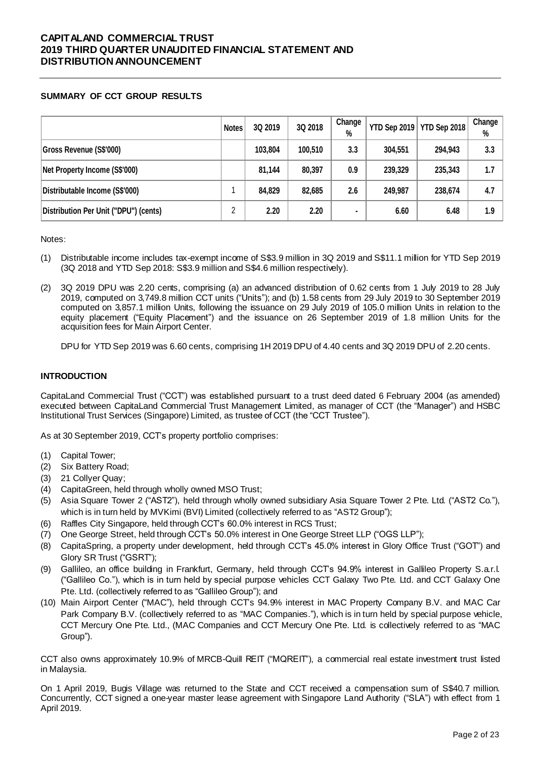## **SUMMARY OF CCT GROUP RESULTS**

|                                       | <b>Notes</b> | 3Q 2019 | 3Q 2018 | Change<br>% |         | YTD Sep 2019   YTD Sep 2018 | Change<br>% |
|---------------------------------------|--------------|---------|---------|-------------|---------|-----------------------------|-------------|
| Gross Revenue (S\$'000)               |              | 103,804 | 100,510 | 3.3         | 304,551 | 294,943                     | 3.3         |
| Net Property Income (S\$'000)         |              | 81,144  | 80,397  | 0.9         | 239,329 | 235,343                     | 1.7         |
| Distributable Income (S\$'000)        |              | 84,829  | 82,685  | 2.6         | 249,987 | 238,674                     | 4.7         |
| Distribution Per Unit ("DPU") (cents) | っ            | 2.20    | 2.20    | ٠           | 6.60    | 6.48                        | 1.9         |

Notes:

- (1) Distributable income includes tax-exempt income of S\$3.9 million in 3Q 2019 and S\$11.1 million for YTD Sep 2019 (3Q 2018 and YTD Sep 2018: S\$3.9 million and S\$4.6 million respectively).
- (2) 3Q 2019 DPU was 2.20 cents, comprising (a) an advanced distribution of 0.62 cents from 1 July 2019 to 28 July 2019, computed on 3,749.8 million CCT units ("Units"); and (b) 1.58 cents from 29 July 2019 to 30 September 2019 computed on 3,857.1 million Units, following the issuance on 29 July 2019 of 105.0 million Units in relation to the equity placement ("Equity Placement") and the issuance on 26 September 2019 of 1.8 million Units for the acquisition fees for Main Airport Center.

DPU for YTD Sep 2019 was 6.60 cents, comprising 1H 2019 DPU of 4.40 cents and 3Q 2019 DPU of 2.20 cents.

## **INTRODUCTION**

CapitaLand Commercial Trust ("CCT") was established pursuant to a trust deed dated 6 February 2004 (as amended) executed between CapitaLand Commercial Trust Management Limited, as manager of CCT (the "Manager") and HSBC Institutional Trust Services (Singapore) Limited, as trustee of CCT (the "CCT Trustee").

As at 30 September 2019, CCT's property portfolio comprises:

- (1) Capital Tower;
- (2) Six Battery Road;
- (3) 21 Collyer Quay;
- (4) CapitaGreen, held through wholly owned MSO Trust;
- (5) Asia Square Tower 2 ("AST2"), held through wholly owned subsidiary Asia Square Tower 2 Pte. Ltd. ("AST2 Co."), which is in turn held by MVKimi (BVI) Limited (collectively referred to as "AST2 Group");
- (6) Raffles City Singapore, held through CCT's 60.0% interest in RCS Trust;
- (7) One George Street, held through CCT's 50.0% interest in One George Street LLP ("OGS LLP");
- (8) CapitaSpring, a property under development, held through CCT's 45.0% interest in Glory Office Trust ("GOT") and Glory SR Trust ("GSRT");
- (9) Gallileo, an office building in Frankfurt, Germany, held through CCT's 94.9% interest in Gallileo Property S.a.r.l. ("Gallileo Co."), which is in turn held by special purpose vehicles CCT Galaxy Two Pte. Ltd. and CCT Galaxy One Pte. Ltd. (collectively referred to as "Gallileo Group"); and
- (10) Main Airport Center ("MAC"), held through CCT's 94.9% interest in MAC Property Company B.V. and MAC Car Park Company B.V. (collectively referred to as "MAC Companies."), which is in turn held by special purpose vehicle, CCT Mercury One Pte. Ltd., (MAC Companies and CCT Mercury One Pte. Ltd. is collectively referred to as "MAC Group").

CCT also owns approximately 10.9% of MRCB-Quill REIT ("MQREIT"), a commercial real estate investment trust listed in Malaysia.

On 1 April 2019, Bugis Village was returned to the State and CCT received a compensation sum of S\$40.7 million. Concurrently, CCT signed a one-year master lease agreement with Singapore Land Authority ("SLA") with effect from 1 April 2019.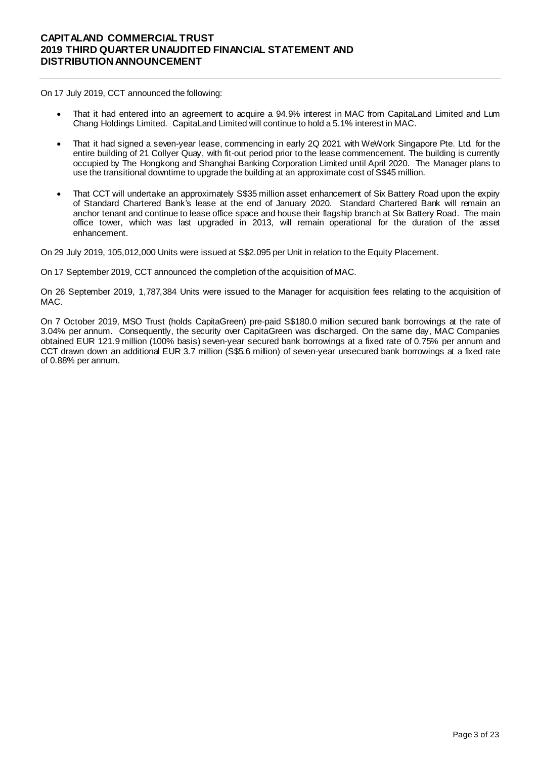On 17 July 2019, CCT announced the following:

- That it had entered into an agreement to acquire a 94.9% interest in MAC from CapitaLand Limited and Lum Chang Holdings Limited. CapitaLand Limited will continue to hold a 5.1% interest in MAC.
- That it had signed a seven-year lease, commencing in early 2Q 2021 with WeWork Singapore Pte. Ltd. for the entire building of 21 Collyer Quay, with fit-out period prior to the lease commencement. The building is currently occupied by The Hongkong and Shanghai Banking Corporation Limited until April 2020. The Manager plans to use the transitional downtime to upgrade the building at an approximate cost of S\$45 million.
- That CCT will undertake an approximately S\$35 million asset enhancement of Six Battery Road upon the expiry of Standard Chartered Bank's lease at the end of January 2020. Standard Chartered Bank will remain an anchor tenant and continue to lease office space and house their flagship branch at Six Battery Road. The main office tower, which was last upgraded in 2013, will remain operational for the duration of the asset enhancement.

On 29 July 2019, 105,012,000 Units were issued at S\$2.095 per Unit in relation to the Equity Placement.

On 17 September 2019, CCT announced the completion of the acquisition of MAC.

On 26 September 2019, 1,787,384 Units were issued to the Manager for acquisition fees relating to the acquisition of MAC.

On 7 October 2019, MSO Trust (holds CapitaGreen) pre-paid S\$180.0 million secured bank borrowings at the rate of 3.04% per annum. Consequently, the security over CapitaGreen was discharged. On the same day, MAC Companies obtained EUR 121.9 million (100% basis) seven-year secured bank borrowings at a fixed rate of 0.75% per annum and CCT drawn down an additional EUR 3.7 million (S\$5.6 million) of seven-year unsecured bank borrowings at a fixed rate of 0.88% per annum.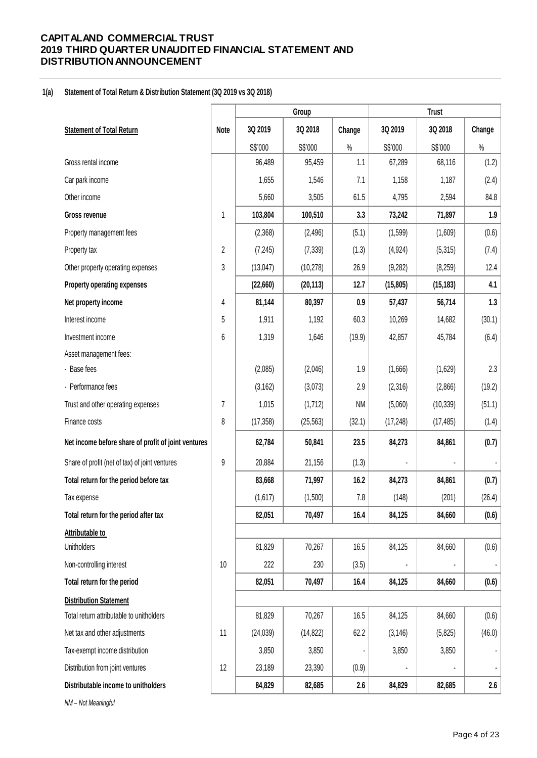#### **1(a) Statement of Total Return & Distribution Statement (3Q 2019 vs 3Q 2018)**

|                                                     |                |           | Group     |           |           | <b>Trust</b> |                  |
|-----------------------------------------------------|----------------|-----------|-----------|-----------|-----------|--------------|------------------|
| <b>Statement of Total Return</b>                    | <b>Note</b>    | 3Q 2019   | 3Q 2018   | Change    | 3Q 2019   | 3Q 2018      | Change           |
|                                                     |                | S\$'000   | S\$'000   | $\%$      | S\$'000   | S\$'000      | $\%$             |
| Gross rental income                                 |                | 96,489    | 95,459    | 1.1       | 67,289    | 68,116       | (1.2)            |
| Car park income                                     |                | 1,655     | 1,546     | 7.1       | 1,158     | 1,187        | (2.4)            |
| Other income                                        |                | 5,660     | 3,505     | 61.5      | 4,795     | 2,594        | 84.8             |
| Gross revenue                                       | 1              | 103,804   | 100,510   | 3.3       | 73,242    | 71,897       | 1.9              |
| Property management fees                            |                | (2,368)   | (2, 496)  | (5.1)     | (1, 599)  | (1,609)      | (0.6)            |
| Property tax                                        | $\overline{2}$ | (7, 245)  | (7, 339)  | (1.3)     | (4, 924)  | (5,315)      | (7.4)            |
| Other property operating expenses                   | 3              | (13,047)  | (10, 278) | 26.9      | (9, 282)  | (8, 259)     | 12.4             |
| Property operating expenses                         |                | (22,660)  | (20, 113) | 12.7      | (15, 805) | (15, 183)    | 4.1              |
| Net property income                                 | 4              | 81,144    | 80,397    | 0.9       | 57,437    | 56,714       | 1.3              |
| Interest income                                     | 5              | 1,911     | 1,192     | 60.3      | 10,269    | 14,682       | (30.1)           |
| Investment income                                   | 6              | 1,319     | 1,646     | (19.9)    | 42,857    | 45,784       | (6.4)            |
| Asset management fees:                              |                |           |           |           |           |              |                  |
| - Base fees                                         |                | (2,085)   | (2,046)   | 1.9       | (1,666)   | (1,629)      | 2.3              |
| - Performance fees                                  |                | (3, 162)  | (3,073)   | 2.9       | (2,316)   | (2,866)      | (19.2)           |
| Trust and other operating expenses                  | 7              | 1,015     | (1,712)   | <b>NM</b> | (5,060)   | (10, 339)    | (51.1)           |
| Finance costs                                       | 8              | (17, 358) | (25, 563) | (32.1)    | (17, 248) | (17, 485)    | (1.4)            |
| Net income before share of profit of joint ventures |                | 62,784    | 50,841    | 23.5      | 84,273    | 84,861       | (0.7)            |
| Share of profit (net of tax) of joint ventures      | 9              | 20,884    | 21,156    | (1.3)     |           |              |                  |
| Total return for the period before tax              |                | 83,668    | 71,997    | 16.2      | 84,273    | 84,861       | (0.7)            |
| Tax expense                                         |                | (1,617)   | (1,500)   | $7.8\,$   | (148)     | (201)        | (26.4)           |
| Total return for the period after tax               |                | 82,051    | 70,497    | 16.4      | 84,125    | 84,660       | (0.6)            |
| Attributable to                                     |                |           |           |           |           |              |                  |
| <b>Unitholders</b>                                  |                | 81,829    | 70,267    | 16.5      | 84,125    | 84,660       | (0.6)            |
| Non-controlling interest                            | 10             | 222       | 230       | (3.5)     |           |              |                  |
| Total return for the period                         |                | 82,051    | 70,497    | 16.4      | 84,125    | 84,660       | (0.6)            |
| <b>Distribution Statement</b>                       |                |           |           |           |           |              |                  |
| Total return attributable to unitholders            |                | 81,829    | 70,267    | 16.5      | 84,125    | 84,660       | (0.6)            |
| Net tax and other adjustments                       | 11             | (24, 039) | (14, 822) | 62.2      | (3, 146)  | (5,825)      | (46.0)           |
| Tax-exempt income distribution                      |                | 3,850     | 3,850     |           | 3,850     | 3,850        |                  |
| Distribution from joint ventures                    | 12             | 23,189    | 23,390    | (0.9)     |           |              |                  |
| Distributable income to unitholders                 |                | 84,829    | 82,685    | $2.6\,$   | 84,829    | 82,685       | $2.6\phantom{0}$ |

*NM – Not Meaningful*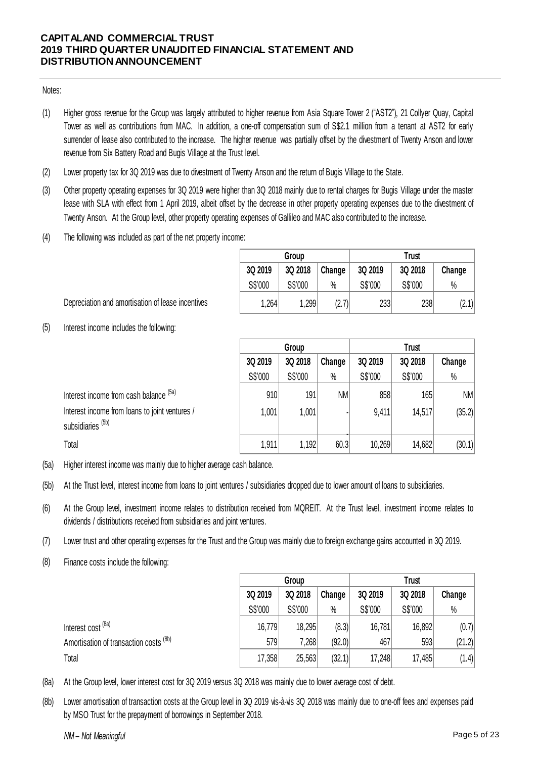## Notes:

- (1) Higher gross revenue for the Group was largely attributed to higher revenue from Asia Square Tower 2 ("AST2"), 21 Collyer Quay, Capital Tower as well as contributions from MAC. In addition, a one-off compensation sum of S\$2.1 million from a tenant at AST2 for early surrender of lease also contributed to the increase. The higher revenue was partially offset by the divestment of Twenty Anson and lower revenue from Six Battery Road and Bugis Village at the Trust level.
- (2) Lower property tax for 3Q 2019 was due to divestment of Twenty Anson and the return of Bugis Village to the State.
- (3) Other property operating expenses for 3Q 2019 were higher than 3Q 2018 mainly due to rental charges for Bugis Village under the master lease with SLA with effect from 1 April 2019, albeit offset by the decrease in other property operating expenses due to the divestment of Twenty Anson. At the Group level, other property operating expenses of Gallileo and MAC also contributed to the increase.
- (4) The following was included as part of the net property income:

|         | Group   |        | Trust   |         |        |  |  |  |
|---------|---------|--------|---------|---------|--------|--|--|--|
| 3Q 2019 | 3Q 2018 | Change | 3Q 2019 | 3Q 2018 | Change |  |  |  |
| S\$'000 | S\$'000 | %      | S\$'000 | S\$'000 | $\%$   |  |  |  |
| 1,264   | 1,299   | (2.7)  | 233     | 238     | (2.1)  |  |  |  |

Depreciation and amortisation of lease incentives

(5) Interest income includes the following:

|                                                                                | Group   |         |           | <b>Trust</b> |         |           |  |
|--------------------------------------------------------------------------------|---------|---------|-----------|--------------|---------|-----------|--|
|                                                                                | 3Q 2019 | 3Q 2018 | Change    | 3Q 2019      | Change  |           |  |
|                                                                                | S\$'000 | S\$'000 | $\%$      | S\$'000      | S\$'000 | $\%$      |  |
| Interest income from cash balance (5a)                                         | 910     | 191     | <b>NM</b> | 858          | 165     | <b>NM</b> |  |
| Interest income from loans to joint ventures /<br>subsidiaries <sup>(5b)</sup> | 1,001   | 1,001   |           | 9,411        | 14,517  | (35.2)    |  |
| Total                                                                          | 1,911   | 1,192   | 60.3      | 10,269       | 14,682  | (30.1)    |  |

(5a) Higher interest income was mainly due to higher average cash balance.

- (5b) At the Trust level, interest income from loans to joint ventures / subsidiaries dropped due to lower amount of loans to subsidiaries.
- (6) At the Group level, investment income relates to distribution received from MQREIT. At the Trust level, investment income relates to dividends / distributions received from subsidiaries and joint ventures.
- (7) Lower trust and other operating expenses for the Trust and the Group was mainly due to foreign exchange gains accounted in 3Q 2019.
- (8) Finance costs include the following:

|                                                                                                                                          | Group   |         |        | <b>Trust</b> |         |        |  |  |
|------------------------------------------------------------------------------------------------------------------------------------------|---------|---------|--------|--------------|---------|--------|--|--|
|                                                                                                                                          | 3Q 2019 | 3Q 2018 | Change | 3Q 2019      | 3Q 2018 | Change |  |  |
|                                                                                                                                          | S\$'000 | S\$'000 | $\%$   | S\$'000      | S\$'000 | $\%$   |  |  |
| Interest cost <sup>(8a)</sup>                                                                                                            | 16,779  | 18,295  | (8.3)  | 16,781       | 16,892  | (0.7)  |  |  |
| Amortisation of transaction costs <sup>(8b)</sup>                                                                                        | 579     | 7,268   | (92.0) | 467          | 593     | (21.2) |  |  |
| Total                                                                                                                                    | 17,358  | 25,563  | (32.1) | 17,248       | 17,485  | (1.4)  |  |  |
| At the Group level, lower interest cost for 3Q 2019 versus 3Q 2018 was mainly due to lower average cost of debt.                         |         |         |        |              |         |        |  |  |
| Lower amortisation of transaction costs at the Group level in 3Q 2019 vis-à-vis 3Q 2018 was mainly due to one-off fees and expenses paid |         |         |        |              |         |        |  |  |

- (8a) At the Group level, lower interest cost for 3Q 2019 versus 3Q 2018 was mainly due to lower average cost of debt.
- (8b) by MSO Trust for the prepayment of borrowings in September 2018.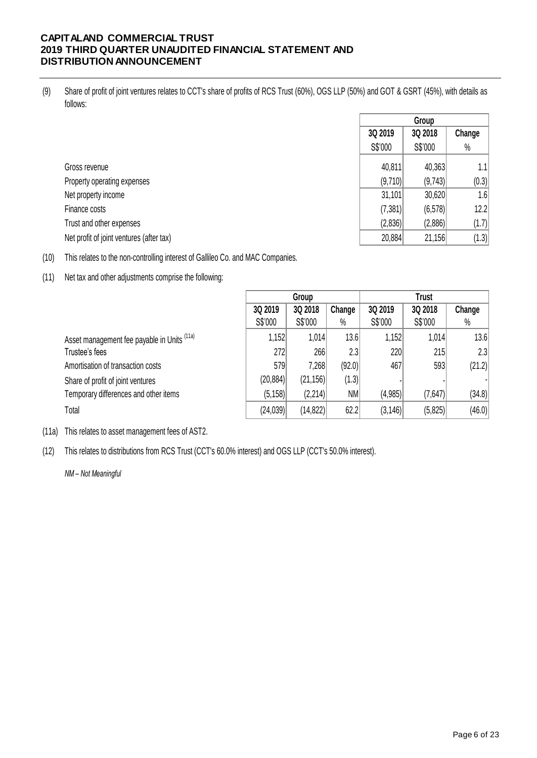(9) Share of profit of joint ventures relates to CCT's share of profits of RCS Trust (60%), OGS LLP (50%) and GOT & GSRT (45%), with details as follows:

|                                          |          | Group   |        |
|------------------------------------------|----------|---------|--------|
|                                          | 3Q 2019  | 3Q 2018 | Change |
|                                          | S\$'000  | S\$'000 | $\%$   |
| Gross revenue                            | 40,811   | 40,363  | 1.1    |
| Property operating expenses              | (9,710)  | (9,743) | (0.3)  |
| Net property income                      | 31,101   | 30,620  | 1.6    |
| Finance costs                            | (7, 381) | (6,578) | 12.2   |
| Trust and other expenses                 | (2,836)  | (2,886) | (1.7)  |
| Net profit of joint ventures (after tax) | 20,884   | 21,156  | (1.3)  |

(10) This relates to the non-controlling interest of Gallileo Co. and MAC Companies.

(11) Net tax and other adjustments comprise the following:

|                                                        |           | Group     |        | <b>Trust</b> |         |        |  |
|--------------------------------------------------------|-----------|-----------|--------|--------------|---------|--------|--|
|                                                        | 3Q 2019   | 3Q 2018   | Change | 3Q 2019      | 3Q 2018 | Change |  |
|                                                        | S\$'000   | S\$'000   | $\%$   | S\$'000      | S\$'000 | $\%$   |  |
| Asset management fee payable in Units <sup>(11a)</sup> | 1,152     | 1,014     | 13.6   | 1,152        | 1,014   | 13.6   |  |
| Trustee's fees                                         | 272       | 266       | 2.3    | 220          | 215     | 2.3    |  |
| Amortisation of transaction costs                      | 579       | 7,268     | (92.0) | 467          | 593     | (21.2) |  |
| Share of profit of joint ventures                      | (20, 884) | (21, 156) | (1.3)  |              |         |        |  |
| Temporary differences and other items                  | (5, 158)  | (2,214)   | NM     | (4,985)      | (7,647) | (34.8) |  |
| Total                                                  | (24, 039) | (14, 822) | 62.2   | (3, 146)     | (5,825) | (46.0) |  |

- (11a) This relates to asset management fees of AST2.
- (12) This relates to distributions from RCS Trust (CCT's 60.0% interest) and OGS LLP (CCT's 50.0% interest).

*NM – Not Meaningful*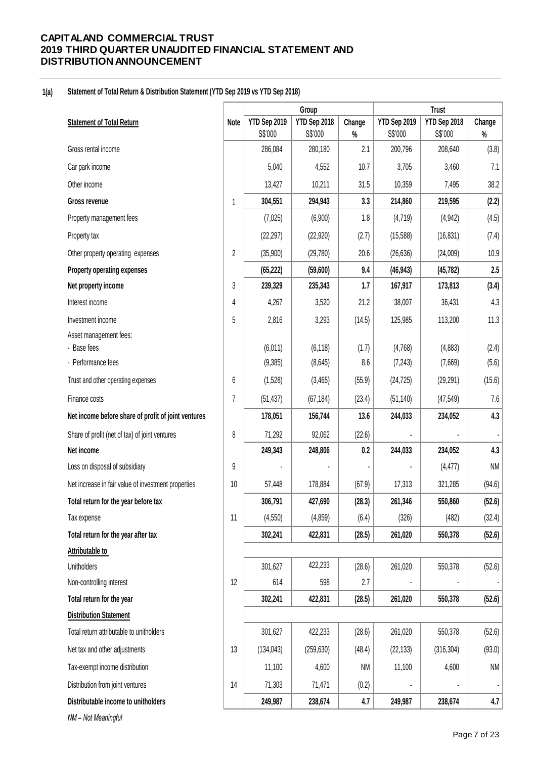#### **1(a) Statement of Total Return & Distribution Statement (YTD Sep 2019 vs YTD Sep 2018)**

|                                                     |                |                         | Group                   |                |                         | <b>Trust</b>            |                |  |
|-----------------------------------------------------|----------------|-------------------------|-------------------------|----------------|-------------------------|-------------------------|----------------|--|
| <b>Statement of Total Return</b>                    | Note           | YTD Sep 2019<br>S\$'000 | YTD Sep 2018<br>S\$'000 | Change<br>$\%$ | YTD Sep 2019<br>S\$'000 | YTD Sep 2018<br>S\$'000 | Change<br>$\%$ |  |
| Gross rental income                                 |                | 286,084                 | 280,180                 | 2.1            | 200,796                 | 208,640                 | (3.8)          |  |
| Car park income                                     |                | 5,040                   | 4,552                   | 10.7           | 3,705                   | 3,460                   | 7.1            |  |
| Other income                                        |                | 13,427                  | 10,211                  | 31.5           | 10,359                  | 7,495                   | 38.2           |  |
| Gross revenue                                       | 1              | 304,551                 | 294,943                 | 3.3            | 214,860                 | 219,595                 | (2.2)          |  |
| Property management fees                            |                | (7,025)                 | (6,900)                 | 1.8            | (4, 719)                | (4, 942)                | (4.5)          |  |
| Property tax                                        |                | (22, 297)               | (22, 920)               | (2.7)          | (15, 588)               | (16, 831)               | (7.4)          |  |
| Other property operating expenses                   | $\overline{2}$ | (35,900)                | (29, 780)               | 20.6           | (26, 636)               | (24,009)                | 10.9           |  |
| Property operating expenses                         |                | (65, 222)               | (59,600)                | 9.4            | (46, 943)               | (45, 782)               | 2.5            |  |
| Net property income                                 | 3              | 239,329                 | 235,343                 | 1.7            | 167,917                 | 173,813                 | (3.4)          |  |
| Interest income                                     | 4              | 4,267                   | 3,520                   | 21.2           | 38,007                  | 36,431                  | 4.3            |  |
| Investment income                                   | 5              | 2,816                   | 3,293                   | (14.5)         | 125,985                 | 113,200                 | 11.3           |  |
| Asset management fees:                              |                |                         |                         |                |                         |                         |                |  |
| - Base fees                                         |                | (6,011)                 | (6, 118)                | (1.7)          | (4,768)                 | (4,883)                 | (2.4)          |  |
| - Performance fees                                  |                | (9,385)                 | (8,645)                 | 8.6            | (7, 243)                | (7,669)                 | (5.6)          |  |
| Trust and other operating expenses                  | 6              | (1,528)                 | (3,465)                 | (55.9)         | (24, 725)               | (29, 291)               | (15.6)         |  |
| Finance costs                                       | 7              | (51, 437)               | (67, 184)               | (23.4)         | (51, 140)               | (47, 549)               | 7.6            |  |
| Net income before share of profit of joint ventures |                | 178,051                 | 156,744                 | 13.6           | 244,033                 | 234,052                 | 4.3            |  |
| Share of profit (net of tax) of joint ventures      | 8              | 71,292                  | 92,062                  | (22.6)         |                         |                         |                |  |
| Net income                                          |                | 249,343                 | 248,806                 | 0.2            | 244,033                 | 234,052                 | 4.3            |  |
| Loss on disposal of subsidiary                      | 9              |                         |                         |                |                         | (4, 477)                | <b>NM</b>      |  |
| Net increase in fair value of investment properties | 10             | 57,448                  | 178,884                 | (67.9)         | 17,313                  | 321,285                 | (94.6)         |  |
| Total return for the year before tax                |                | 306,791                 | 427,690                 | (28.3)         | 261,346                 | 550,860                 | (52.6)         |  |
| Tax expense                                         | 11             | (4, 550)                | (4, 859)                | (6.4)          | (326)                   | (482)                   | (32.4)         |  |
| Total return for the year after tax                 |                | 302,241                 | 422,831                 | (28.5)         | 261,020                 | 550,378                 | (52.6)         |  |
| Attributable to                                     |                |                         |                         |                |                         |                         |                |  |
| Unitholders                                         |                | 301,627                 | 422,233                 | (28.6)         | 261,020                 | 550,378                 | (52.6)         |  |
| Non-controlling interest                            | 12             | 614                     | 598                     | 2.7            |                         |                         |                |  |
| Total return for the year                           |                | 302,241                 | 422,831                 | (28.5)         | 261,020                 | 550,378                 | (52.6)         |  |
| <b>Distribution Statement</b>                       |                |                         |                         |                |                         |                         |                |  |
| Total return attributable to unitholders            |                | 301,627                 | 422,233                 | (28.6)         | 261,020                 | 550,378                 | (52.6)         |  |
| Net tax and other adjustments                       | 13             | (134, 043)              | (259, 630)              | (48.4)         | (22, 133)               | (316, 304)              | (93.0)         |  |
| Tax-exempt income distribution                      |                | 11,100                  | 4,600                   | <b>NM</b>      | 11,100                  | 4,600                   | <b>NM</b>      |  |
| Distribution from joint ventures                    | 14             | 71,303                  | 71,471                  | (0.2)          |                         |                         |                |  |
| Distributable income to unitholders                 |                | 249,987                 | 238,674                 | 4.7            | 249,987                 | 238,674                 | 4.7            |  |
| NM-Not Meaningful                                   |                |                         |                         |                |                         |                         |                |  |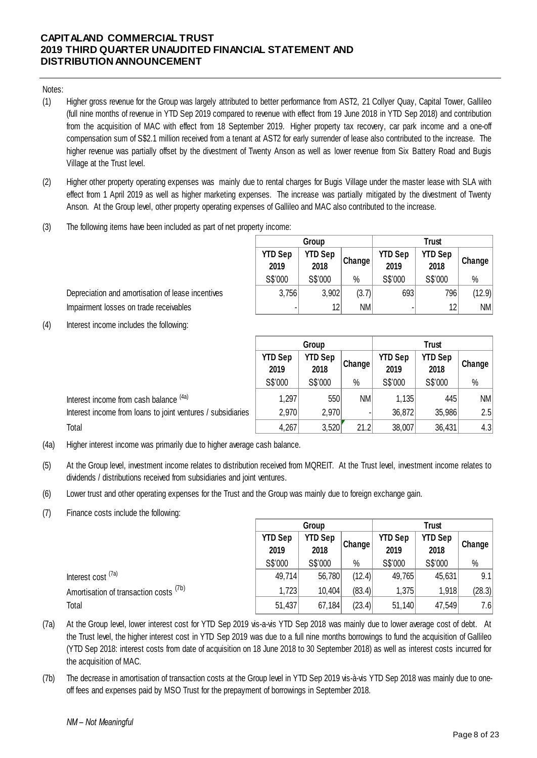Notes:

- (1) compensation sum of S\$2.1 million received from a tenant at AST2 for early surrender of lease also contributed to the increase. The<br>higher revenue was partially offset by the divestment of Twenty Anson as well as lower rev Higher gross revenue for the Group was largely attributed to better performance from AST2, 21 Collyer Quay, Capital Tower, Gallileo<br>Higher gross revenue for the Group was largely attributed to better performance from AST2, Higher gross revenue for the Group was largely attributed to better performance from AST2, 21 Collyer Quay, Capital Tower, Gallileo<br>(full nine months of revenue in YTD Sep 2019 compared to revenue with effect from 19 June from the acquisition of MAC with effect from 18 September 2019. Higher property tax recovery, car park income and a one-off Higher gross revenue for the Group was largely attributed to better performance from AST2, 21 Collyer Quay, Capital Tower, Gallileo (full nine months of revenue in YTD Sep 2019 compared to revenue with effect from 19 June higher revenue was partially offset by the divestment of Twenty Anson as well as lower revenue from Six Battery Road and Bugis Village at the Trust level.
- (2) effect from 1 April 2019 as well as higher marketing expenses. The increase was partially mitigated by the divestment of Twenty Anson. At the Group level, other property operating expenses of Gallileo and MAC also contributed to the increase.
- (3) The following items have been included as part of net property income:

|                        | Group                  |               |                        | Trust                  |           |
|------------------------|------------------------|---------------|------------------------|------------------------|-----------|
| <b>YTD Sep</b><br>2019 | <b>YTD Sep</b><br>2018 | <b>Change</b> | <b>YTD Sep</b><br>2019 | <b>YTD Sep</b><br>2018 | Change    |
| S\$'000                | S\$'000                | %             | S\$'000                | S\$'000                | %         |
| 3,756                  | 3,902                  | (3.7)         | 693                    | 796                    | (12.9)    |
| ۰                      | 12                     | <b>NM</b>     |                        | 12                     | <b>NM</b> |

Depreciation and amortisation of lease incentives Impairment losses on trade receivables

(4) Interest income includes the following:

|                                                                                                                                      |                                                  | Group   |           |                        | <b>Trust</b>           |           |  |  |
|--------------------------------------------------------------------------------------------------------------------------------------|--------------------------------------------------|---------|-----------|------------------------|------------------------|-----------|--|--|
|                                                                                                                                      | <b>YTD Sep</b><br><b>YTD Sep</b><br>2018<br>2019 |         | Change    | <b>YTD Sep</b><br>2019 | <b>YTD Sep</b><br>2018 | Change    |  |  |
|                                                                                                                                      | S\$'000                                          | S\$'000 | $\%$      | S\$'000                | S\$'000                | $\%$      |  |  |
| Interest income from cash balance (4a)                                                                                               | 1,297                                            | 550     | <b>NM</b> | 1,135                  | 445                    | <b>NM</b> |  |  |
| Interest income from loans to joint ventures / subsidiaries                                                                          | 2,970                                            | 2,970   |           | 36,872                 | 35,986                 | 2.5       |  |  |
| Total                                                                                                                                | 4,267                                            | 3,520   | 21.2      | 38,007                 | 36,431                 | 4.3       |  |  |
| Higher interest income was primarily due to higher average cash balance.                                                             |                                                  |         |           |                        |                        |           |  |  |
| At the Group level, investment income relates to distribution received from MQREIT. At the Trust level, investment income relates to |                                                  |         |           |                        |                        |           |  |  |

- (4a) Higher interest income was primarily due to higher average cash balance.
- (5) dividends / distributions received from subsidiaries and joint ventures.
- (6) Lower trust and other operating expenses for the Trust and the Group was mainly due to foreign exchange gain.
- (7) Finance costs include the following:

|                                                                                                                                                                                                                                                                           |                        | Group                  |        |                        | <b>Trust</b>           |        |  |
|---------------------------------------------------------------------------------------------------------------------------------------------------------------------------------------------------------------------------------------------------------------------------|------------------------|------------------------|--------|------------------------|------------------------|--------|--|
|                                                                                                                                                                                                                                                                           | <b>YTD Sep</b><br>2019 | <b>YTD Sep</b><br>2018 | Change | <b>YTD Sep</b><br>2019 | <b>YTD Sep</b><br>2018 | Change |  |
|                                                                                                                                                                                                                                                                           | S\$'000                | S\$'000                | $\%$   | S\$'000                | S\$'000                | $\%$   |  |
| Interest cost <sup>(7a)</sup>                                                                                                                                                                                                                                             | 49,714                 | 56,780                 | (12.4) | 49,765                 | 45,631                 | 9.1    |  |
| Amortisation of transaction costs <sup>(7b)</sup>                                                                                                                                                                                                                         | 1,723                  | 10,404                 | (83.4) | 1,375                  | 1,918                  | (28.3) |  |
| Total                                                                                                                                                                                                                                                                     | 51,437                 | 67,184                 | (23.4) | 51,140                 | 47,549                 | 7.6    |  |
| At the Group level, lower interest cost for YTD Sep 2019 vis-a-vis YTD Sep 2018 was mainly due to lower average cost of debt. At<br>the Trust level the higher interest cost in YTD Sep 2019 was due to a full nine months borrowings to fund the acquisition of Gallileo |                        |                        |        |                        |                        |        |  |

- (7a) Total<br>Total 51,437 67,184 (23.4) 1,375 1,918 (28.3)<br>At the Group level, lower interest cost for YTD Sep 2019 vis-a-vis YTD Sep 2018 was mainly due to lower average cost of debt. At<br>the Trust level, the higher interest cost Total<br>
At the Group level, lower interest cost for YTD Sep 2019 vis-a-vis YTD Sep 2018 was mainly due to lower average cost of debt. At<br>
the Trust level, the higher interest cost in YTD Sep 2019 was due to a full nine mont the acquisition of MAC.
- (7b) The decrease in amortisation of transaction costs at the Group level in YTD Sep 2019 vis-à-vis YTD Sep 2018 was mainly due to oneoff fees and expenses paid by MSO Trust for the prepayment of borrowings in September 2018.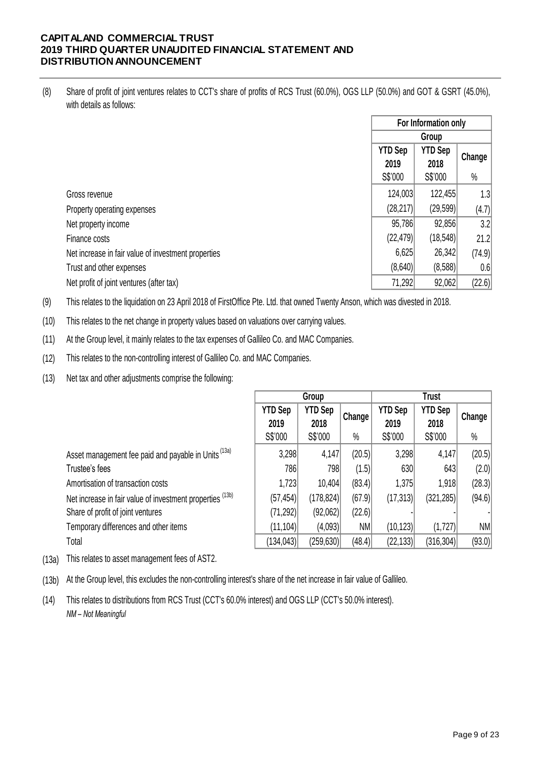(8) Share of profit of joint ventures relates to CCT's share of profits of RCS Trust (60.0%), OGS LLP (50.0%) and GOT & GSRT (45.0%), with details as follows:

|                                                     | For Information only   |                        |        |  |  |
|-----------------------------------------------------|------------------------|------------------------|--------|--|--|
|                                                     |                        | Group                  |        |  |  |
|                                                     | <b>YTD Sep</b><br>2019 | <b>YTD Sep</b><br>2018 | Change |  |  |
|                                                     | S\$'000                | S\$'000                | $\%$   |  |  |
| Gross revenue                                       | 124,003                | 122,455                | 1.3    |  |  |
| Property operating expenses                         | (28, 217)              | (29, 599)              | (4.7)  |  |  |
| Net property income                                 | 95,786                 | 92,856                 | 3.2    |  |  |
| Finance costs                                       | (22, 479)              | (18, 548)              | 21.2   |  |  |
| Net increase in fair value of investment properties | 6,625                  | 26,342                 | (74.9) |  |  |
| Trust and other expenses                            | (8,640)                | (8,588)                | 0.6    |  |  |
| Net profit of joint ventures (after tax)            | 71,292                 | 92,062                 | (22.6) |  |  |

(9) This relates to the liquidation on 23 April 2018 of FirstOffice Pte. Ltd. that owned Twenty Anson, which was divested in 2018.

(10) This relates to the net change in property values based on valuations over carrying values.

(11) At the Group level, it mainly relates to the tax expenses of Gallileo Co. and MAC Companies.

(12) This relates to the non-controlling interest of Gallileo Co. and MAC Companies.

(13) Net tax and other adjustments comprise the following:

|                                                           | Group          |                |           | <b>Trust</b>   |                |           |  |
|-----------------------------------------------------------|----------------|----------------|-----------|----------------|----------------|-----------|--|
|                                                           | <b>YTD Sep</b> | <b>YTD Sep</b> |           | <b>YTD Sep</b> | <b>YTD Sep</b> | Change    |  |
|                                                           | 2019           | 2018           | Change    | 2019           | 2018           |           |  |
|                                                           | S\$'000        | S\$'000        | $\%$      | S\$'000        | S\$'000        | $\%$      |  |
| Asset management fee paid and payable in Units (13a)      | 3,298          | 4,147          | (20.5)    | 3,298          | 4,147          | (20.5)    |  |
| Trustee's fees                                            | 786            | 798            | (1.5)     | 630            | 643            | (2.0)     |  |
| Amortisation of transaction costs                         | 1,723          | 10,404         | (83.4)    | 1,375          | 1,918          | (28.3)    |  |
| Net increase in fair value of investment properties (13b) | (57, 454)      | (178, 824)     | (67.9)    | (17, 313)      | (321, 285)     | (94.6)    |  |
| Share of profit of joint ventures                         | (71, 292)      | (92,062)       | (22.6)    |                |                |           |  |
| Temporary differences and other items                     | (11, 104)      | (4,093)        | <b>NM</b> | (10, 123)      | (1,727)        | <b>NM</b> |  |
| Total                                                     | (134,043)      | (259, 630)     | (48.4)    | (22, 133)      | (316, 304)     | (93.0)    |  |

(13a) This relates to asset management fees of AST2.

(13b) At the Group level, this excludes the non-controlling interest's share of the net increase in fair value of Gallileo.

 $(14)$ *NM – Not Meaningful* This relates to distributions from RCS Trust (CCT's 60.0% interest) and OGS LLP (CCT's 50.0% interest).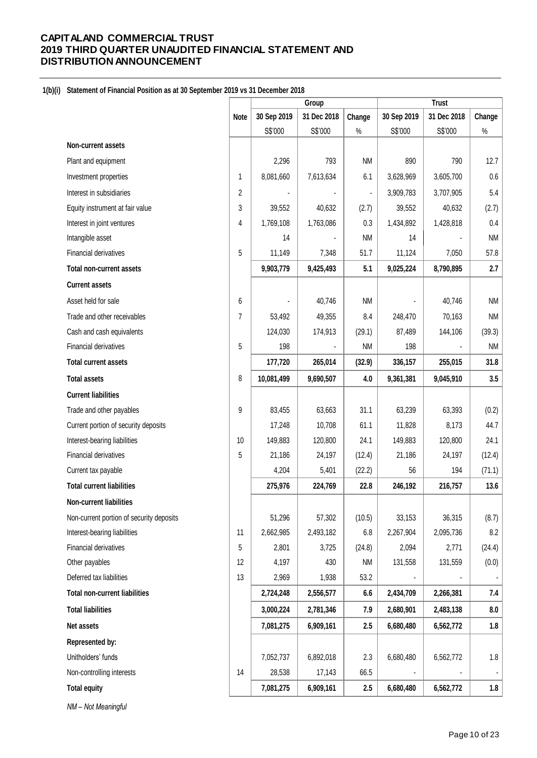## **1(b)(i) Statement of Financial Position as at 30 September 2019 vs 31 December 2018**

|                                          |                | Group       |             |           | <b>Trust</b> |             |                |
|------------------------------------------|----------------|-------------|-------------|-----------|--------------|-------------|----------------|
|                                          | <b>Note</b>    | 30 Sep 2019 | 31 Dec 2018 | Change    | 30 Sep 2019  | 31 Dec 2018 | Change         |
|                                          |                | S\$'000     | S\$'000     | $\%$      | S\$'000      | S\$'000     | $\%$           |
| Non-current assets                       |                |             |             |           |              |             |                |
| Plant and equipment                      |                | 2,296       | 793         | <b>NM</b> | 890          | 790         | 12.7           |
| Investment properties                    | 1              | 8,081,660   | 7,613,634   | 6.1       | 3,628,969    | 3,605,700   | $0.6\,$        |
| Interest in subsidiaries                 | 2              |             |             |           | 3,909,783    | 3,707,905   | 5.4            |
| Equity instrument at fair value          | 3              | 39,552      | 40,632      | (2.7)     | 39,552       | 40,632      | (2.7)          |
| Interest in joint ventures               | 4              | 1,769,108   | 1,763,086   | 0.3       | 1,434,892    | 1,428,818   | $0.4\,$        |
| Intangible asset                         |                | 14          |             | <b>NM</b> | 14           |             | <b>NM</b>      |
| Financial derivatives                    | 5              | 11,149      | 7,348       | 51.7      | 11,124       | 7,050       | 57.8           |
| <b>Total non-current assets</b>          |                | 9,903,779   | 9,425,493   | 5.1       | 9,025,224    | 8,790,895   | 2.7            |
| <b>Current assets</b>                    |                |             |             |           |              |             |                |
| Asset held for sale                      | 6              |             | 40,746      | <b>NM</b> |              | 40,746      | <b>NM</b>      |
| Trade and other receivables              | $\overline{7}$ | 53,492      | 49,355      | 8.4       | 248,470      | 70,163      | <b>NM</b>      |
| Cash and cash equivalents                |                | 124,030     | 174,913     | (29.1)    | 87,489       | 144,106     | (39.3)         |
| Financial derivatives                    | 5              | 198         |             | <b>NM</b> | 198          |             | <b>NM</b>      |
| <b>Total current assets</b>              |                | 177,720     | 265,014     | (32.9)    | 336,157      | 255,015     | 31.8           |
| <b>Total assets</b>                      | 8              | 10,081,499  | 9,690,507   | 4.0       | 9,361,381    | 9,045,910   | 3.5            |
| <b>Current liabilities</b>               |                |             |             |           |              |             |                |
| Trade and other payables                 | 9              | 83,455      | 63,663      | 31.1      | 63,239       | 63,393      | (0.2)          |
| Current portion of security deposits     |                | 17,248      | 10,708      | 61.1      | 11,828       | 8,173       | 44.7           |
| Interest-bearing liabilities             | 10             | 149,883     | 120,800     | 24.1      | 149,883      | 120,800     | 24.1           |
| Financial derivatives                    | 5              | 21,186      | 24,197      | (12.4)    | 21,186       | 24,197      | (12.4)         |
| Current tax payable                      |                | 4,204       | 5,401       | (22.2)    | 56           | 194         | (71.1)         |
| <b>Total current liabilities</b>         |                | 275,976     | 224,769     | 22.8      | 246,192      | 216,757     | 13.6           |
| <b>Non-current liabilities</b>           |                |             |             |           |              |             |                |
| Non-current portion of security deposits |                | 51,296      | 57,302      | (10.5)    | 33,153       | 36,315      | (8.7)          |
| Interest-bearing liabilities             | 11             | 2,662,985   | 2,493,182   | 6.8       | 2,267,904    | 2,095,736   | 8.2            |
| Financial derivatives                    | 5              | 2,801       | 3,725       | (24.8)    | 2,094        | 2,771       | (24.4)         |
| Other payables                           | 12             | 4,197       | 430         | <b>NM</b> | 131,558      | 131,559     | (0.0)          |
| Deferred tax liabilities                 | 13             | 2,969       | 1,938       | 53.2      |              |             | $\blacksquare$ |
| <b>Total non-current liabilities</b>     |                | 2,724,248   | 2,556,577   | 6.6       | 2,434,709    | 2,266,381   | 7.4            |
| <b>Total liabilities</b>                 |                | 3,000,224   | 2,781,346   | 7.9       | 2,680,901    | 2,483,138   | 8.0            |
| Net assets                               |                | 7,081,275   | 6,909,161   | 2.5       | 6,680,480    | 6,562,772   | 1.8            |
| Represented by:                          |                |             |             |           |              |             |                |
| Unitholders' funds                       |                | 7,052,737   | 6,892,018   | 2.3       | 6,680,480    | 6,562,772   | 1.8            |
| Non-controlling interests                | 14             | 28,538      | 17,143      | 66.5      |              |             | $\blacksquare$ |
| <b>Total equity</b>                      |                | 7,081,275   | 6,909,161   | 2.5       | 6,680,480    | 6,562,772   | 1.8            |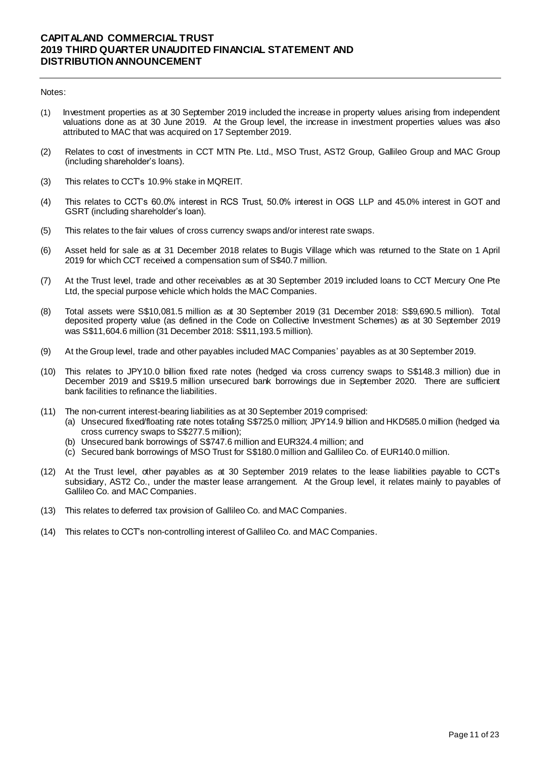### Notes:

- (1) Investment properties as at 30 September 2019 included the increase in property values arising from independent valuations done as at 30 June 2019. At the Group level, the increase in investment properties values was also attributed to MAC that was acquired on 17 September 2019.
- (2) Relates to cost of investments in CCT MTN Pte. Ltd., MSO Trust, AST2 Group, Gallileo Group and MAC Group (including shareholder's loans).
- (3) This relates to CCT's 10.9% stake in MQREIT.
- (4) This relates to CCT's 60.0% interest in RCS Trust, 50.0% interest in OGS LLP and 45.0% interest in GOT and GSRT (including shareholder's loan).
- (5) This relates to the fair values of cross currency swaps and/or interest rate swaps.
- (6) Asset held for sale as at 31 December 2018 relates to Bugis Village which was returned to the State on 1 April 2019 for which CCT received a compensation sum of S\$40.7 million.
- (7) At the Trust level, trade and other receivables as at 30 September 2019 included loans to CCT Mercury One Pte Ltd, the special purpose vehicle which holds the MAC Companies.
- (8) Total assets were S\$10,081.5 million as at 30 September 2019 (31 December 2018: S\$9,690.5 million). Total deposited property value (as defined in the Code on Collective Investment Schemes) as at 30 September 2019 was S\$11,604.6 million (31 December 2018: S\$11,193.5 million).
- (9) At the Group level, trade and other payables included MAC Companies' payables as at 30 September 2019.
- (10) This relates to JPY10.0 billion fixed rate notes (hedged via cross currency swaps to S\$148.3 million) due in December 2019 and S\$19.5 million unsecured bank borrowings due in September 2020. There are sufficient bank facilities to refinance the liabilities.
- (11) The non-current interest-bearing liabilities as at 30 September 2019 comprised:
	- (a) Unsecured fixed/floating rate notes totaling S\$725.0 million; JPY14.9 billion and HKD585.0 million (hedged via cross currency swaps to S\$277.5 million);
	- (b) Unsecured bank borrowings of S\$747.6 million and EUR324.4 million; and
	- (c) Secured bank borrowings of MSO Trust for S\$180.0 million and Gallileo Co. of EUR140.0 million.
- (12) At the Trust level, other payables as at 30 September 2019 relates to the lease liabilities payable to CCT's subsidiary, AST2 Co., under the master lease arrangement. At the Group level, it relates mainly to payables of Gallileo Co. and MAC Companies.
- (13) This relates to deferred tax provision of Gallileo Co. and MAC Companies.
- (14) This relates to CCT's non-controlling interest of Gallileo Co. and MAC Companies.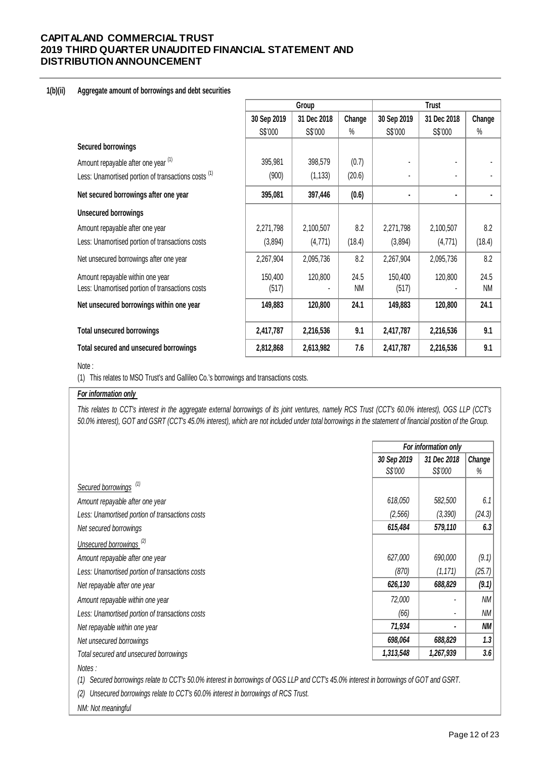### **1(b)(ii) Aggregate amount of borrowings and debt securities**

|                                                     | Group       |             |           |             | <b>Trust</b> |           |
|-----------------------------------------------------|-------------|-------------|-----------|-------------|--------------|-----------|
|                                                     | 30 Sep 2019 | 31 Dec 2018 | Change    | 30 Sep 2019 | 31 Dec 2018  | Change    |
|                                                     | S\$'000     | S\$'000     | $\%$      | S\$'000     | S\$'000      | %         |
| <b>Secured borrowings</b>                           |             |             |           |             |              |           |
| Amount repayable after one year (1)                 | 395,981     | 398,579     | (0.7)     |             |              |           |
| Less: Unamortised portion of transactions costs (1) | (900)       | (1, 133)    | (20.6)    |             |              |           |
| Net secured borrowings after one year               | 395,081     | 397,446     | (0.6)     |             |              |           |
| <b>Unsecured borrowings</b>                         |             |             |           |             |              |           |
| Amount repayable after one year                     | 2,271,798   | 2,100,507   | 8.2       | 2,271,798   | 2,100,507    | 8.2       |
| Less: Unamortised portion of transactions costs     | (3,894)     | (4, 771)    | (18.4)    | (3,894)     | (4,771)      | (18.4)    |
| Net unsecured borrowings after one year             | 2,267,904   | 2,095,736   | 8.2       | 2,267,904   | 2,095,736    | 8.2       |
| Amount repayable within one year                    | 150,400     | 120,800     | 24.5      | 150,400     | 120,800      | 24.5      |
| Less: Unamortised portion of transactions costs     | (517)       |             | <b>NM</b> | (517)       |              | <b>NM</b> |
| Net unsecured borrowings within one year            | 149,883     | 120,800     | 24.1      | 149,883     | 120,800      | 24.1      |
| <b>Total unsecured borrowings</b>                   | 2,417,787   | 2,216,536   | 9.1       | 2,417,787   | 2,216,536    | 9.1       |
| Total secured and unsecured borrowings              | 2,812,868   | 2,613,982   | 7.6       | 2,417,787   | 2,216,536    | 9.1       |

#### Note :

(1) This relates to MSO Trust's and Gallileo Co.'s borrowings and transactions costs.

## *For information only*

This relates to CCT's interest in the aggregate external borrowings of its joint ventures, namely RCS Trust (CCT's 60.0% interest), OGS LLP (CCT's *50.0% interest), GOT and GSRT (CCT's 45.0% interest), which are not included under total borrowings in the statement of financial position of the Group.*

|                                                 |             | For information only |        |  |  |  |
|-------------------------------------------------|-------------|----------------------|--------|--|--|--|
|                                                 | 30 Sep 2019 | 31 Dec 2018          | Change |  |  |  |
|                                                 | S\$'000     | S\$'000              | %      |  |  |  |
| Secured borrowings <sup>(1)</sup>               |             |                      |        |  |  |  |
| Amount repayable after one year                 | 618,050     | 582,500              | 6.1    |  |  |  |
| Less: Unamortised portion of transactions costs | (2, 566)    | (3, 390)             | (24.3) |  |  |  |
| Net secured borrowings                          | 615,484     | 579,110              | 6.3    |  |  |  |
| Unsecured borrowings <sup>(2)</sup>             |             |                      |        |  |  |  |
| Amount repayable after one year                 | 627,000     | 690,000              | (9.1)  |  |  |  |
| Less: Unamortised portion of transactions costs | (870)       | (1, 171)             | (25.7) |  |  |  |
| Net repayable after one year                    | 626,130     | 688,829              | (9.1)  |  |  |  |
| Amount repayable within one year                | 72,000      |                      | ΝM     |  |  |  |
| Less: Unamortised portion of transactions costs | (66)        | ٠                    | ΝM     |  |  |  |
| Net repayable within one year                   | 71,934      | $\blacksquare$       | ΝM     |  |  |  |
| Net unsecured borrowings                        | 698,064     | 688,829              | 1.3    |  |  |  |
| Total secured and unsecured borrowings          | 1,313,548   | 1,267,939            | 3.6    |  |  |  |
| Notes:                                          |             |                      |        |  |  |  |

*(1) Secured borrowings relate to CCT's 50.0% interest in borrowings of OGS LLP and CCT's 45.0% interest in borrowings of GOT and GSRT.* 

*(2) Unsecured borrowings relate to CCT's 60.0% interest in borrowings of RCS Trust.*

*NM: Not meaningful*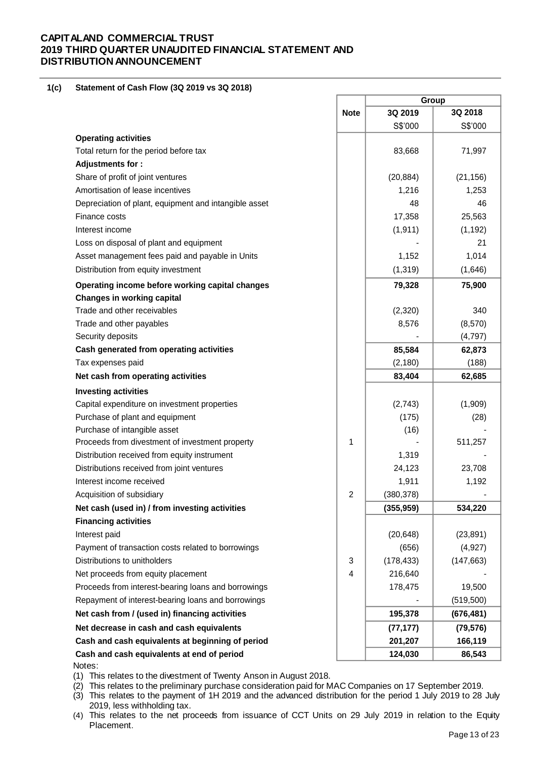#### **1(c) Statement of Cash Flow (3Q 2019 vs 3Q 2018)**

|                                                       |             | Group      |            |  |  |
|-------------------------------------------------------|-------------|------------|------------|--|--|
|                                                       | <b>Note</b> | 3Q 2019    | 3Q 2018    |  |  |
|                                                       |             | S\$'000    | S\$'000    |  |  |
| <b>Operating activities</b>                           |             |            |            |  |  |
| Total return for the period before tax                |             | 83,668     | 71,997     |  |  |
| Adjustments for:                                      |             |            |            |  |  |
| Share of profit of joint ventures                     |             | (20, 884)  | (21, 156)  |  |  |
| Amortisation of lease incentives                      |             | 1,216      | 1,253      |  |  |
| Depreciation of plant, equipment and intangible asset |             | 48         | 46         |  |  |
| Finance costs                                         |             | 17,358     | 25,563     |  |  |
| Interest income                                       |             | (1, 911)   | (1, 192)   |  |  |
| Loss on disposal of plant and equipment               |             |            | 21         |  |  |
| Asset management fees paid and payable in Units       |             | 1,152      | 1,014      |  |  |
| Distribution from equity investment                   |             | (1, 319)   | (1,646)    |  |  |
| Operating income before working capital changes       |             | 79,328     | 75,900     |  |  |
| <b>Changes in working capital</b>                     |             |            |            |  |  |
| Trade and other receivables                           |             | (2,320)    | 340        |  |  |
| Trade and other payables                              |             | 8,576      | (8,570)    |  |  |
| Security deposits                                     |             |            | (4,797)    |  |  |
| Cash generated from operating activities              |             | 85,584     | 62,873     |  |  |
| Tax expenses paid                                     |             | (2, 180)   | (188)      |  |  |
| Net cash from operating activities                    |             | 83,404     | 62,685     |  |  |
| <b>Investing activities</b>                           |             |            |            |  |  |
| Capital expenditure on investment properties          |             | (2,743)    | (1,909)    |  |  |
| Purchase of plant and equipment                       |             | (175)      | (28)       |  |  |
| Purchase of intangible asset                          |             | (16)       |            |  |  |
| Proceeds from divestment of investment property       | 1           |            | 511,257    |  |  |
| Distribution received from equity instrument          |             | 1,319      |            |  |  |
| Distributions received from joint ventures            |             | 24,123     | 23,708     |  |  |
| Interest income received                              |             | 1,911      | 1,192      |  |  |
| Acquisition of subsidiary                             | 2           | (380, 378) |            |  |  |
| Net cash (used in) / from investing activities        |             | (355, 959) | 534,220    |  |  |
| <b>Financing activities</b>                           |             |            |            |  |  |
| Interest paid                                         |             | (20, 648)  | (23, 891)  |  |  |
| Payment of transaction costs related to borrowings    |             | (656)      | (4, 927)   |  |  |
| Distributions to unitholders                          | 3           | (178, 433) | (147, 663) |  |  |
| Net proceeds from equity placement                    | 4           | 216,640    |            |  |  |
| Proceeds from interest-bearing loans and borrowings   |             | 178,475    | 19,500     |  |  |
| Repayment of interest-bearing loans and borrowings    |             |            | (519, 500) |  |  |
| Net cash from / (used in) financing activities        |             | 195,378    | (676, 481) |  |  |
| Net decrease in cash and cash equivalents             |             | (77, 177)  | (79, 576)  |  |  |
| Cash and cash equivalents at beginning of period      |             | 201,207    | 166,119    |  |  |
| Cash and cash equivalents at end of period<br>Notes:  |             | 124,030    | 86,543     |  |  |

(1) This relates to the divestment of Twenty Anson in August 2018.

(2) This relates to the preliminary purchase consideration paid for MAC Companies on 17 September 2019.

(3) This relates to the payment of 1H 2019 and the advanced distribution for the period 1 July 2019 to 28 July 2019, less withholding tax.

(4) This relates to the net proceeds from issuance of CCT Units on 29 July 2019 in relation to the Equity Placement.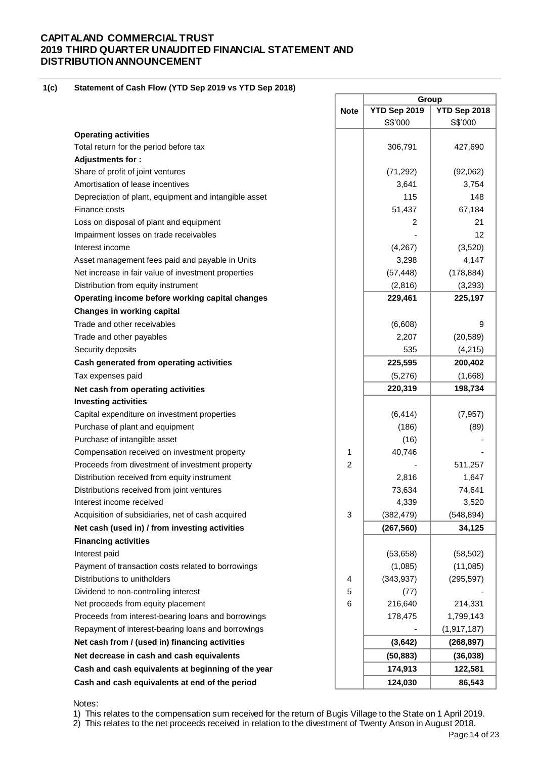#### **1(c) Statement of Cash Flow (YTD Sep 2019 vs YTD Sep 2018)**

|                                                       |                | Group        |               |
|-------------------------------------------------------|----------------|--------------|---------------|
|                                                       | <b>Note</b>    | YTD Sep 2019 | YTD Sep 2018  |
|                                                       |                | S\$'000      | S\$'000       |
| <b>Operating activities</b>                           |                |              |               |
| Total return for the period before tax                |                | 306,791      | 427,690       |
| Adjustments for:                                      |                |              |               |
| Share of profit of joint ventures                     |                | (71, 292)    | (92,062)      |
| Amortisation of lease incentives                      |                | 3,641        | 3,754         |
| Depreciation of plant, equipment and intangible asset |                | 115          | 148           |
| Finance costs                                         |                | 51,437       | 67,184        |
| Loss on disposal of plant and equipment               |                | 2            | 21            |
| Impairment losses on trade receivables                |                |              | 12            |
| Interest income                                       |                | (4,267)      | (3,520)       |
| Asset management fees paid and payable in Units       |                | 3,298        | 4,147         |
| Net increase in fair value of investment properties   |                | (57, 448)    | (178, 884)    |
| Distribution from equity instrument                   |                | (2,816)      | (3,293)       |
| Operating income before working capital changes       |                | 229,461      | 225,197       |
| <b>Changes in working capital</b>                     |                |              |               |
| Trade and other receivables                           |                | (6,608)      | 9             |
| Trade and other payables                              |                | 2,207        | (20, 589)     |
| Security deposits                                     |                | 535          | (4,215)       |
| Cash generated from operating activities              |                | 225,595      | 200,402       |
| Tax expenses paid                                     |                | (5,276)      | (1,668)       |
| Net cash from operating activities                    |                | 220,319      | 198,734       |
| <b>Investing activities</b>                           |                |              |               |
| Capital expenditure on investment properties          |                | (6, 414)     | (7, 957)      |
| Purchase of plant and equipment                       |                | (186)        | (89)          |
| Purchase of intangible asset                          |                | (16)         |               |
| Compensation received on investment property          | 1              | 40,746       |               |
| Proceeds from divestment of investment property       | $\overline{c}$ |              | 511,257       |
| Distribution received from equity instrument          |                | 2,816        | 1,647         |
| Distributions received from joint ventures            |                | 73,634       | 74,641        |
| Interest income received                              |                | 4,339        | 3,520         |
| Acquisition of subsidiaries, net of cash acquired     | 3              | (382, 479)   | (548, 894)    |
| Net cash (used in) / from investing activities        |                | (267, 560)   | 34,125        |
| <b>Financing activities</b>                           |                |              |               |
| Interest paid                                         |                | (53, 658)    | (58, 502)     |
| Payment of transaction costs related to borrowings    |                | (1,085)      | (11,085)      |
| Distributions to unitholders                          | 4              | (343, 937)   | (295, 597)    |
| Dividend to non-controlling interest                  | 5              | (77)         |               |
| Net proceeds from equity placement                    | 6              | 216,640      | 214,331       |
| Proceeds from interest-bearing loans and borrowings   |                | 178,475      | 1,799,143     |
| Repayment of interest-bearing loans and borrowings    |                |              | (1, 917, 187) |
| Net cash from / (used in) financing activities        |                | (3,642)      | (268, 897)    |
| Net decrease in cash and cash equivalents             |                | (50, 883)    | (36, 038)     |
| Cash and cash equivalents at beginning of the year    |                | 174,913      | 122,581       |
| Cash and cash equivalents at end of the period        |                | 124,030      | 86,543        |
|                                                       |                |              |               |

Notes:

1) This relates to the compensation sum received for the return of Bugis Village to the State on 1 April 2019.

2) This relates to the net proceeds received in relation to the divestment of Twenty Anson in August 2018.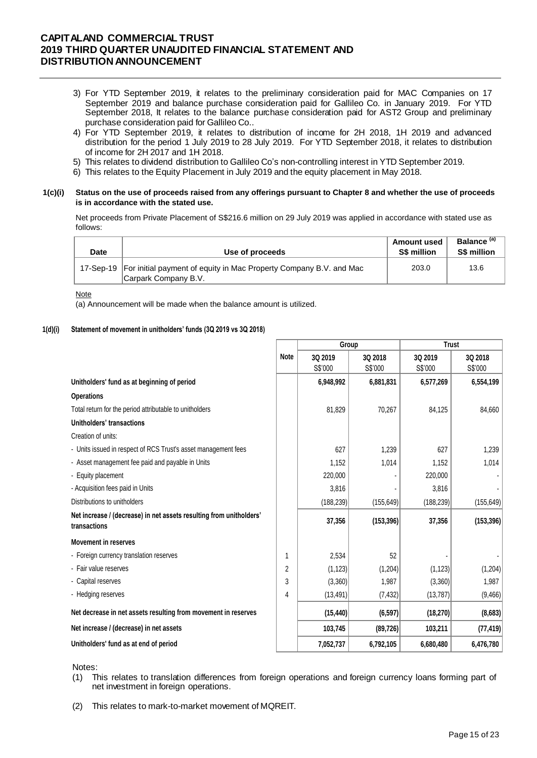- 3) For YTD September 2019, it relates to the preliminary consideration paid for MAC Companies on 17 September 2019 and balance purchase consideration paid for Gallileo Co. in January 2019. For YTD September 2018, It relates to the balance purchase consideration paid for AST2 Group and preliminary purchase consideration paid for Gallileo Co..
- 4) For YTD September 2019, it relates to distribution of income for 2H 2018, 1H 2019 and advanced distribution for the period 1 July 2019 to 28 July 2019. For YTD September 2018, it relates to distribution of income for 2H 2017 and 1H 2018.
- 5) This relates to dividend distribution to Gallileo Co's non-controlling interest in YTD September 2019.
- 6) This relates to the Equity Placement in July 2019 and the equity placement in May 2018.

#### **1(c)(i) Status on the use of proceeds raised from any offerings pursuant to Chapter 8 and whether the use of proceeds is in accordance with the stated use.**

Net proceeds from Private Placement of S\$216.6 million on 29 July 2019 was applied in accordance with stated use as follows:

| Date | Use of proceeds                                                                                        | <b>Amount used</b><br>S\$ million | Balance <sup>(a)</sup><br><b>S\$ million</b> |
|------|--------------------------------------------------------------------------------------------------------|-----------------------------------|----------------------------------------------|
|      | 17-Sep-19   For initial payment of equity in Mac Property Company B.V. and Mac<br>Carpark Company B.V. | 203.0                             | 13.6                                         |

Note

(a) Announcement will be made when the balance amount is utilized.

### **1(d)(i) Statement of movement in unitholders' funds (3Q 2019 vs 3Q 2018)**

|                                                                                     |                | Group              |                    | <b>Trust</b>       |                    |  |
|-------------------------------------------------------------------------------------|----------------|--------------------|--------------------|--------------------|--------------------|--|
|                                                                                     | <b>Note</b>    | 3Q 2019<br>S\$'000 | 3Q 2018<br>S\$'000 | 3Q 2019<br>S\$'000 | 3Q 2018<br>S\$'000 |  |
| Unitholders' fund as at beginning of period                                         |                | 6,948,992          | 6,881,831          | 6,577,269          | 6,554,199          |  |
| <b>Operations</b>                                                                   |                |                    |                    |                    |                    |  |
| Total return for the period attributable to unitholders                             |                | 81,829             | 70,267             | 84,125             | 84,660             |  |
| Unitholders' transactions                                                           |                |                    |                    |                    |                    |  |
| Creation of units:                                                                  |                |                    |                    |                    |                    |  |
| - Units issued in respect of RCS Trust's asset management fees                      |                | 627                | 1,239              | 627                | 1,239              |  |
| - Asset management fee paid and payable in Units                                    |                | 1,152              | 1,014              | 1,152              | 1,014              |  |
| - Equity placement                                                                  |                | 220,000            |                    | 220,000            |                    |  |
| - Acquisition fees paid in Units                                                    |                | 3,816              |                    | 3,816              |                    |  |
| Distributions to unitholders                                                        |                | (188, 239)         | (155, 649)         | (188, 239)         | (155, 649)         |  |
| Net increase / (decrease) in net assets resulting from unitholders'<br>transactions |                | 37,356             | (153, 396)         | 37,356             | (153, 396)         |  |
| <b>Movement in reserves</b>                                                         |                |                    |                    |                    |                    |  |
| - Foreign currency translation reserves                                             |                | 2,534              | 52                 |                    |                    |  |
| - Fair value reserves                                                               | $\overline{2}$ | (1, 123)           | (1, 204)           | (1, 123)           | (1,204)            |  |
| - Capital reserves                                                                  | 3              | (3,360)            | 1,987              | (3,360)            | 1,987              |  |
| - Hedging reserves                                                                  | 4              | (13, 491)          | (7, 432)           | (13, 787)          | (9,466)            |  |
| Net decrease in net assets resulting from movement in reserves                      |                | (15, 440)          | (6, 597)           | (18, 270)          | (8,683)            |  |
| Net increase / (decrease) in net assets                                             |                | 103,745            | (89, 726)          | 103,211            | (77, 419)          |  |
| Unitholders' fund as at end of period                                               |                | 7,052,737          | 6,792,105          | 6,680,480          | 6,476,780          |  |

Notes:

(1) This relates to translation differences from foreign operations and foreign currency loans forming part of net investment in foreign operations.

(2) This relates to mark-to-market movement of MQREIT.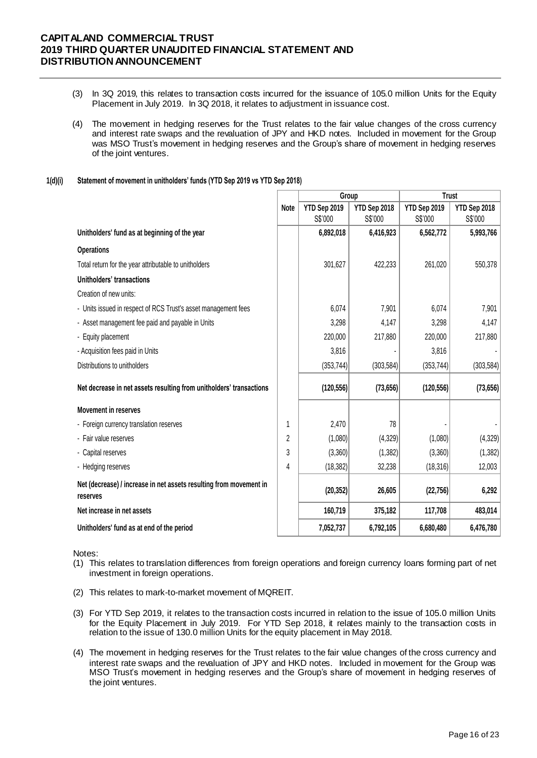- (3) In 3Q 2019, this relates to transaction costs incurred for the issuance of 105.0 million Units for the Equity Placement in July 2019. In 3Q 2018, it relates to adjustment in issuance cost.
- (4) The movement in hedging reserves for the Trust relates to the fair value changes of the cross currency and interest rate swaps and the revaluation of JPY and HKD notes. Included in movement for the Group was MSO Trust's movement in hedging reserves and the Group's share of movement in hedging reserves of the joint ventures.

#### **1(d)(i) Statement of movement in unitholders' funds (YTD Sep 2019 vs YTD Sep 2018)**

|                                                                                |             | Group        |              | <b>Trust</b> |              |
|--------------------------------------------------------------------------------|-------------|--------------|--------------|--------------|--------------|
|                                                                                | <b>Note</b> | YTD Sep 2019 | YTD Sep 2018 | YTD Sep 2019 | YTD Sep 2018 |
|                                                                                |             | S\$'000      | S\$'000      | S\$'000      | S\$'000      |
| Unitholders' fund as at beginning of the year                                  |             | 6,892,018    | 6,416,923    | 6,562,772    | 5,993,766    |
| <b>Operations</b>                                                              |             |              |              |              |              |
| Total return for the year attributable to unitholders                          |             | 301,627      | 422,233      | 261,020      | 550,378      |
| <b>Unitholders' transactions</b>                                               |             |              |              |              |              |
| Creation of new units:                                                         |             |              |              |              |              |
| - Units issued in respect of RCS Trust's asset management fees                 |             | 6,074        | 7,901        | 6,074        | 7,901        |
| - Asset management fee paid and payable in Units                               |             | 3,298        | 4,147        | 3,298        | 4,147        |
| - Equity placement                                                             |             | 220,000      | 217,880      | 220,000      | 217,880      |
| - Acquisition fees paid in Units                                               |             | 3,816        |              | 3,816        |              |
| Distributions to unitholders                                                   |             | (353, 744)   | (303, 584)   | (353, 744)   | (303, 584)   |
| Net decrease in net assets resulting from unitholders' transactions            |             | (120, 556)   | (73, 656)    | (120, 556)   | (73, 656)    |
| <b>Movement in reserves</b>                                                    |             |              |              |              |              |
| - Foreign currency translation reserves                                        | 1           | 2,470        | 78           |              |              |
| - Fair value reserves                                                          | 2           | (1,080)      | (4,329)      | (1,080)      | (4,329)      |
| - Capital reserves                                                             | 3           | (3,360)      | (1, 382)     | (3,360)      | (1, 382)     |
| - Hedging reserves                                                             | 4           | (18, 382)    | 32,238       | (18, 316)    | 12,003       |
| Net (decrease) / increase in net assets resulting from movement in<br>reserves |             | (20, 352)    | 26,605       | (22, 756)    | 6,292        |
| Net increase in net assets                                                     |             | 160,719      | 375,182      | 117,708      | 483,014      |
| Unitholders' fund as at end of the period                                      |             | 7,052,737    | 6,792,105    | 6,680,480    | 6,476,780    |

### Notes:

- (1) This relates to translation differences from foreign operations and foreign currency loans forming part of net investment in foreign operations.
- (2) This relates to mark-to-market movement of MQREIT.
- (3) For YTD Sep 2019, it relates to the transaction costs incurred in relation to the issue of 105.0 million Units for the Equity Placement in July 2019. For YTD Sep 2018, it relates mainly to the transaction costs in relation to the issue of 130.0 million Units for the equity placement in May 2018.
- (4) The movement in hedging reserves for the Trust relates to the fair value changes of the cross currency and interest rate swaps and the revaluation of JPY and HKD notes. Included in movement for the Group was MSO Trust's movement in hedging reserves and the Group's share of movement in hedging reserves of the joint ventures.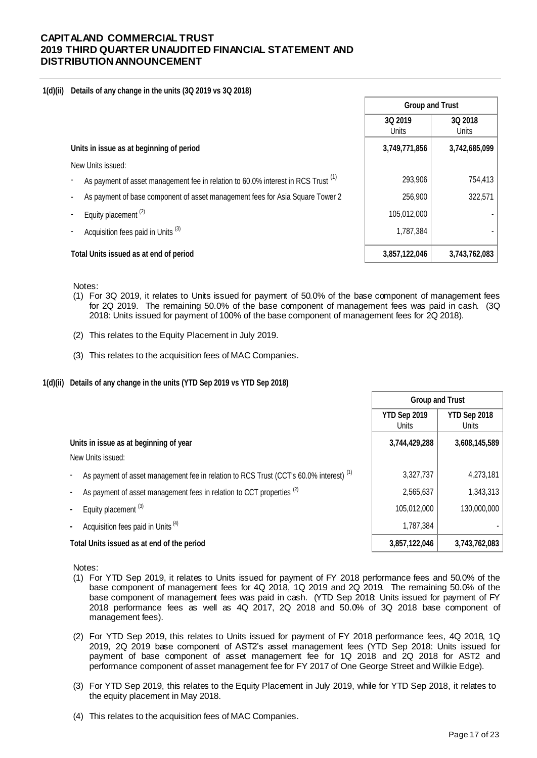#### **1(d)(ii) Details of any change in the units (3Q 2019 vs 3Q 2018)**

|                                                                                              | <b>Group and Trust</b>  |                         |  |
|----------------------------------------------------------------------------------------------|-------------------------|-------------------------|--|
|                                                                                              | 3Q 2019<br><b>Units</b> | 3Q 2018<br><b>Units</b> |  |
| Units in issue as at beginning of period                                                     | 3,749,771,856           | 3,742,685,099           |  |
| New Units issued:                                                                            |                         |                         |  |
| As payment of asset management fee in relation to 60.0% interest in RCS Trust <sup>(1)</sup> | 293,906                 | 754,413                 |  |
| As payment of base component of asset management fees for Asia Square Tower 2                | 256,900                 | 322,571                 |  |
| Equity placement <sup>(2)</sup>                                                              | 105,012,000             |                         |  |
| Acquisition fees paid in Units <sup>(3)</sup>                                                | 1,787,384               |                         |  |
| Total Units issued as at end of period                                                       | 3,857,122,046           | 3,743,762,083           |  |

Notes:

- (1) For 3Q 2019, it relates to Units issued for payment of 50.0% of the base component of management fees for 2Q 2019. The remaining 50.0% of the base component of management fees was paid in cash. (3Q 2018: Units issued for payment of 100% of the base component of management fees for 2Q 2018).
- (2) This relates to the Equity Placement in July 2019.
- (3) This relates to the acquisition fees of MAC Companies.
- **1(d)(ii) Details of any change in the units (YTD Sep 2019 vs YTD Sep 2018)**

|                                                                                                   | <b>Group and Trust</b> |                       |  |
|---------------------------------------------------------------------------------------------------|------------------------|-----------------------|--|
|                                                                                                   | YTD Sep 2019<br>Units  | YTD Sep 2018<br>Units |  |
| Units in issue as at beginning of year<br>New Units issued:                                       | 3,744,429,288          | 3,608,145,589         |  |
| As payment of asset management fee in relation to RCS Trust (CCT's 60.0% interest) <sup>(1)</sup> | 3,327,737              | 4,273,181             |  |
| As payment of asset management fees in relation to CCT properties <sup>(2)</sup>                  | 2,565,637              | 1,343,313             |  |
| Equity placement <sup>(3)</sup>                                                                   | 105,012,000            | 130,000,000           |  |
| Acquisition fees paid in Units <sup>(4)</sup>                                                     | 1,787,384              |                       |  |
| Total Units issued as at end of the period                                                        | 3,857,122,046          | 3,743,762,083         |  |

Notes:

- (1) For YTD Sep 2019, it relates to Units issued for payment of FY 2018 performance fees and 50.0% of the base component of management fees for 4Q 2018, 1Q 2019 and 2Q 2019. The remaining 50.0% of the base component of management fees was paid in cash. (YTD Sep 2018: Units issued for payment of FY 2018 performance fees as well as 4Q 2017, 2Q 2018 and 50.0% of 3Q 2018 base component of management fees).
- (2) For YTD Sep 2019, this relates to Units issued for payment of FY 2018 performance fees, 4Q 2018, 1Q 2019, 2Q 2019 base component of AST2's asset management fees (YTD Sep 2018: Units issued for payment of base component of asset management fee for 1Q 2018 and 2Q 2018 for AST2 and performance component of asset management fee for FY 2017 of One George Street and Wilkie Edge).
- (3) For YTD Sep 2019, this relates to the Equity Placement in July 2019, while for YTD Sep 2018, it relates to the equity placement in May 2018.
- (4) This relates to the acquisition fees of MAC Companies.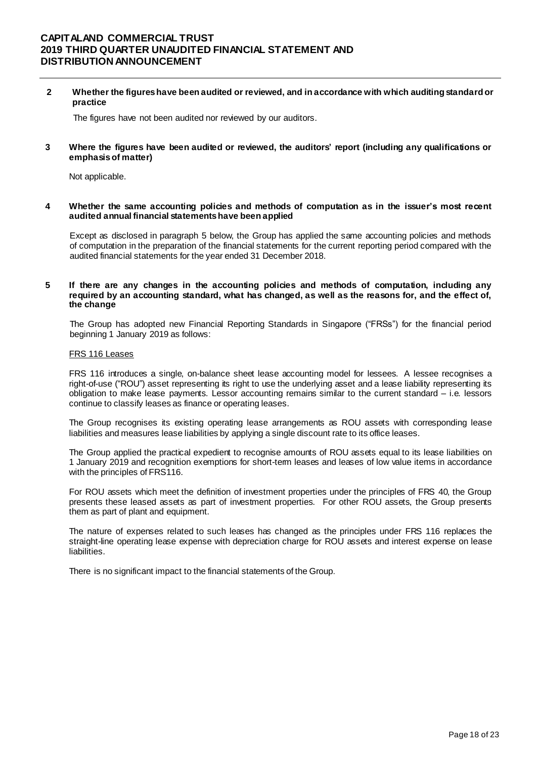**2 Whether the figures have been audited or reviewed, and in accordance with which auditing standard or practice**

The figures have not been audited nor reviewed by our auditors.

**3 Where the figures have been audited or reviewed, the auditors' report (including any qualifications or emphasis of matter)**

Not applicable.

**4 Whether the same accounting policies and methods of computation as in the issuer's most recent audited annual financial statements have been applied**

Except as disclosed in paragraph 5 below, the Group has applied the same accounting policies and methods of computation in the preparation of the financial statements for the current reporting period compared with the audited financial statements for the year ended 31 December 2018.

#### **5 If there are any changes in the accounting policies and methods of computation, including any required by an accounting standard, what has changed, as well as the reasons for, and the effect of, the change**

The Group has adopted new Financial Reporting Standards in Singapore ("FRSs") for the financial period beginning 1 January 2019 as follows:

#### FRS 116 Leases

FRS 116 introduces a single, on-balance sheet lease accounting model for lessees. A lessee recognises a right-of-use ("ROU") asset representing its right to use the underlying asset and a lease liability representing its obligation to make lease payments. Lessor accounting remains similar to the current standard – i.e. lessors continue to classify leases as finance or operating leases.

The Group recognises its existing operating lease arrangements as ROU assets with corresponding lease liabilities and measures lease liabilities by applying a single discount rate to its office leases.

The Group applied the practical expedient to recognise amounts of ROU assets equal to its lease liabilities on 1 January 2019 and recognition exemptions for short-term leases and leases of low value items in accordance with the principles of FRS116.

For ROU assets which meet the definition of investment properties under the principles of FRS 40, the Group presents these leased assets as part of investment properties. For other ROU assets, the Group presents them as part of plant and equipment.

The nature of expenses related to such leases has changed as the principles under FRS 116 replaces the straight-line operating lease expense with depreciation charge for ROU assets and interest expense on lease liabilities.

There is no significant impact to the financial statements of the Group.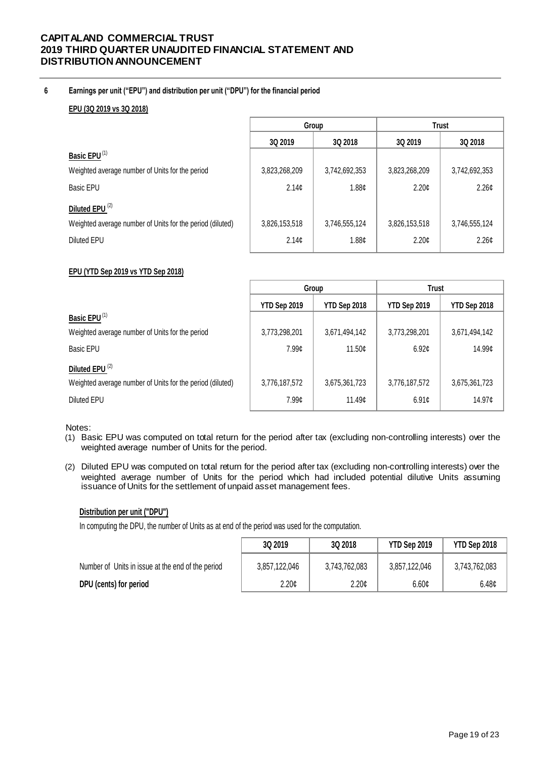## **6 Earnings per unit ("EPU") and distribution per unit ("DPU") for the financial period**

## **EPU (3Q 2019 vs 3Q 2018)**

|                                                           |                   | Group             | <b>Trust</b>      |                   |  |
|-----------------------------------------------------------|-------------------|-------------------|-------------------|-------------------|--|
|                                                           | 3Q 2019           | 3Q 2018           | 3Q 2019           | 3Q 2018           |  |
| Basic EPU <sup>(1)</sup>                                  |                   |                   |                   |                   |  |
| Weighted average number of Units for the period           | 3,823,268,209     | 3,742,692,353     | 3,823,268,209     | 3,742,692,353     |  |
| Basic EPU                                                 | 2.14 <sub>c</sub> | 1.88 <sub>¢</sub> | 2.20 <sub>c</sub> | 2.26¢             |  |
| Diluted EPU <sup>(2)</sup>                                |                   |                   |                   |                   |  |
| Weighted average number of Units for the period (diluted) | 3,826,153,518     | 3,746,555,124     | 3,826,153,518     | 3,746,555,124     |  |
| Diluted EPU                                               | 2.14 <sub>¢</sub> | 1.88 <sub>¢</sub> | 2.20¢             | 2.26 <sub>¢</sub> |  |

## **EPU (YTD Sep 2019 vs YTD Sep 2018)**

|                                                           | Group                               |               | <b>Trust</b>        |               |
|-----------------------------------------------------------|-------------------------------------|---------------|---------------------|---------------|
|                                                           | YTD Sep 2018<br><b>YTD Sep 2019</b> |               | <b>YTD Sep 2019</b> | YTD Sep 2018  |
| Basic EPU <sup>(1)</sup>                                  |                                     |               |                     |               |
| Weighted average number of Units for the period           | 3,773,298,201                       | 3,671,494,142 | 3,773,298,201       | 3,671,494,142 |
| Basic EPU                                                 | 7.99 <sub>¢</sub>                   | 11.50c        | 6.92¢               | 14.99¢        |
| Diluted EPU <sup>(2)</sup>                                |                                     |               |                     |               |
| Weighted average number of Units for the period (diluted) | 3,776,187,572                       | 3,675,361,723 | 3,776,187,572       | 3,675,361,723 |
| Diluted EPU                                               | 7.99 <sub>¢</sub>                   | 11.49c        | 6.91c               | 14.97¢        |

Notes:

- (1) Basic EPU was computed on total return for the period after tax (excluding non-controlling interests) over the weighted average number of Units for the period.
- (2) Diluted EPU was computed on total return for the period after tax (excluding non-controlling interests) over the weighted average number of Units for the period which had included potential dilutive Units assuming issuance of Units for the settlement of unpaid asset management fees.

## **Distribution per unit ("DPU")**

In computing the DPU, the number of Units as at end of the period was used for the computation.

|                                                   | 3Q 2019       | 3Q 2018       | <b>YTD Sep 2019</b> | YTD Sep 2018  |
|---------------------------------------------------|---------------|---------------|---------------------|---------------|
| Number of Units in issue at the end of the period | 3,857,122,046 | 3,743,762,083 | 3,857,122,046       | 3,743,762,083 |
| DPU (cents) for period                            | 2.20¢         | 2.20¢         | 6.60 <sub>¢</sub>   | 6.48¢         |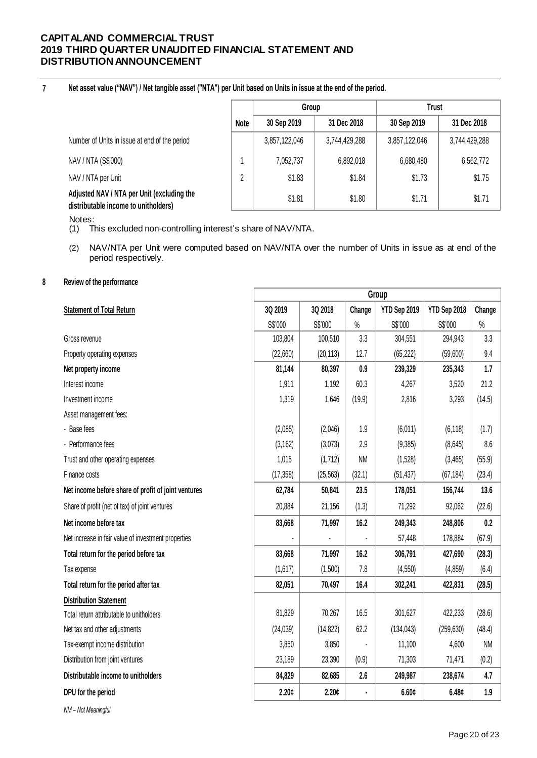#### **7 Net asset value ("NAV") / Net tangible asset ("NTA") per Unit based on Units in issue at the end of the period.**

|                                                                                    |      | Group         |               | Trust         |               |  |
|------------------------------------------------------------------------------------|------|---------------|---------------|---------------|---------------|--|
|                                                                                    | Note | 30 Sep 2019   | 31 Dec 2018   | 30 Sep 2019   | 31 Dec 2018   |  |
| Number of Units in issue at end of the period                                      |      | 3,857,122,046 | 3,744,429,288 | 3,857,122,046 | 3,744,429,288 |  |
| NAV / NTA (S\$'000)                                                                |      | 7,052,737     | 6,892,018     | 6,680,480     | 6,562,772     |  |
| NAV / NTA per Unit                                                                 | 2    | \$1.83        | \$1.84        | \$1.73        | \$1.75        |  |
| Adjusted NAV / NTA per Unit (excluding the<br>distributable income to unitholders) |      | \$1.81        | \$1.80        | \$1.71        | \$1.71        |  |

Notes:

(1) This excluded non-controlling interest's share of NAV/NTA.

(2) NAV/NTA per Unit were computed based on NAV/NTA over the number of Units in issue as at end of the period respectively.

## **8 Review of the performance**

|                                                     | Group     |           |           |              |              |           |
|-----------------------------------------------------|-----------|-----------|-----------|--------------|--------------|-----------|
| <b>Statement of Total Return</b>                    | 3Q 2019   | 3Q 2018   | Change    | YTD Sep 2019 | YTD Sep 2018 | Change    |
|                                                     | S\$'000   | S\$'000   | $\%$      | S\$'000      | S\$'000      | $\%$      |
| Gross revenue                                       | 103,804   | 100,510   | 3.3       | 304,551      | 294,943      | 3.3       |
| Property operating expenses                         | (22,660)  | (20, 113) | 12.7      | (65, 222)    | (59,600)     | 9.4       |
| Net property income                                 | 81,144    | 80,397    | 0.9       | 239,329      | 235,343      | 1.7       |
| Interest income                                     | 1,911     | 1,192     | 60.3      | 4,267        | 3,520        | 21.2      |
| Investment income                                   | 1,319     | 1,646     | (19.9)    | 2,816        | 3,293        | (14.5)    |
| Asset management fees:                              |           |           |           |              |              |           |
| - Base fees                                         | (2,085)   | (2,046)   | 1.9       | (6,011)      | (6, 118)     | (1.7)     |
| - Performance fees                                  | (3, 162)  | (3,073)   | 2.9       | (9, 385)     | (8,645)      | 8.6       |
| Trust and other operating expenses                  | 1,015     | (1,712)   | <b>NM</b> | (1,528)      | (3,465)      | (55.9)    |
| Finance costs                                       | (17, 358) | (25, 563) | (32.1)    | (51, 437)    | (67, 184)    | (23.4)    |
| Net income before share of profit of joint ventures | 62,784    | 50,841    | 23.5      | 178,051      | 156,744      | 13.6      |
| Share of profit (net of tax) of joint ventures      | 20,884    | 21,156    | (1.3)     | 71,292       | 92,062       | (22.6)    |
| Net income before tax                               | 83,668    | 71,997    | 16.2      | 249,343      | 248,806      | 0.2       |
| Net increase in fair value of investment properties |           |           |           | 57,448       | 178,884      | (67.9)    |
| Total return for the period before tax              | 83,668    | 71,997    | 16.2      | 306,791      | 427,690      | (28.3)    |
| Tax expense                                         | (1,617)   | (1,500)   | 7.8       | (4,550)      | (4, 859)     | (6.4)     |
| Total return for the period after tax               | 82,051    | 70,497    | 16.4      | 302,241      | 422,831      | (28.5)    |
| <b>Distribution Statement</b>                       |           |           |           |              |              |           |
| Total return attributable to unitholders            | 81,829    | 70,267    | 16.5      | 301,627      | 422,233      | (28.6)    |
| Net tax and other adjustments                       | (24, 039) | (14, 822) | 62.2      | (134, 043)   | (259, 630)   | (48.4)    |
| Tax-exempt income distribution                      | 3,850     | 3,850     |           | 11,100       | 4,600        | <b>NM</b> |
| Distribution from joint ventures                    | 23,189    | 23,390    | (0.9)     | 71,303       | 71,471       | (0.2)     |
| Distributable income to unitholders                 | 84,829    | 82,685    | 2.6       | 249,987      | 238,674      | 4.7       |
| DPU for the period                                  | 2.20¢     | 2.20c     | ä,        | 6.60c        | 6.48c        | 1.9       |
|                                                     |           |           |           |              |              |           |

*NM – Not Meaningful*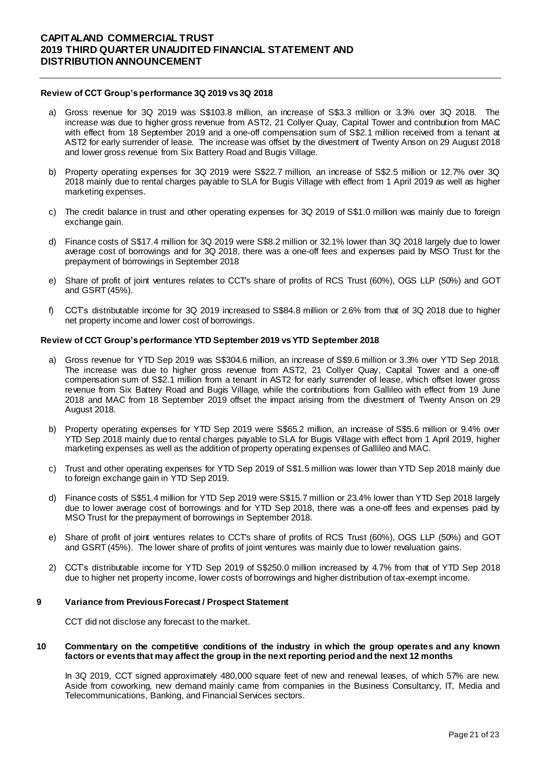### **Review of CCT Group's performance 3Q 2019 vs3Q 2018**

- a) Gross revenue for 3Q 2019 was S\$103.8 million, an increase of S\$3.3 million or 3.3% over 3Q 2018. The increase was due to higher gross revenue from AST2, 21 Collyer Quay, Capital Tower and contribution from MAC with effect from 18 September 2019 and a one-off compensation sum of S\$2.1 million received from a tenant at AST2 for early surrender of lease. The increase was offset by the divestment of Twenty Anson on 29 August 2018 and lower gross revenue from Six Battery Road and Bugis Village.
- b) Property operating expenses for 3Q 2019 were S\$22.7 million, an increase of S\$2.5 million or 12.7% over 3Q 2018 mainly due to rental charges payable to SLA for Bugis Village with effect from 1 April 2019 as well as higher marketing expenses.
- c) The credit balance in trust and other operating expenses for 3Q 2019 of S\$1.0 million was mainly due to foreign exchange gain.
- d) Finance costs of S\$17.4 million for 3Q 2019 were S\$8.2 million or 32.1% lower than 3Q 2018 largely due to lower average cost of borrowings and for 3Q 2018, there was a one-off fees and expenses paid by MSO Trust for the prepayment of borrowings in September 2018
- e) Share of profit of joint ventures relates to CCT's share of profits of RCS Trust (60%), OGS LLP (50%) and GOT and GSRT (45%).
- f) CCT's distributable income for 3Q 2019 increased to S\$84.8 million or 2.6% from that of 3Q 2018 due to higher net property income and lower cost of borrowings.

## **Review of CCT Group's performance YTD September 2019 vs YTD September 2018**

- a) Gross revenue for YTD Sep 2019 was S\$304.6 million, an increase of S\$9.6 million or 3.3% over YTD Sep 2018. The increase was due to higher gross revenue from AST2, 21 Collyer Quay, Capital Tower and a one-off compensation sum of S\$2.1 million from a tenant in AST2 for early surrender of lease, which offset lower gross revenue from Six Battery Road and Bugis Village, while the contributions from Gallileo with effect from 19 June 2018 and MAC from 18 September 2019 offset the impact arising from the divestment of Twenty Anson on 29 August 2018.
- b) Property operating expenses for YTD Sep 2019 were S\$65.2 million, an increase of S\$5.6 million or 9.4% over YTD Sep 2018 mainly due to rental charges payable to SLA for Bugis Village with effect from 1 April 2019, higher marketing expenses as well as the addition of property operating expenses of Gallileo and MAC.
- c) Trust and other operating expenses for YTD Sep 2019 of S\$1.5 million was lower than YTD Sep 2018 mainly due to foreign exchange gain in YTD Sep 2019.
- d) Finance costs of S\$51.4 million for YTD Sep 2019 were S\$15.7 million or 23.4% lower than YTD Sep 2018 largely due to lower average cost of borrowings and for YTD Sep 2018, there was a one-off fees and expenses paid by MSO Trust for the prepayment of borrowings in September 2018.
- e) Share of profit of joint ventures relates to CCT's share of profits of RCS Trust (60%), OGS LLP (50%) and GOT and GSRT (45%). The lower share of profits of joint ventures was mainly due to lower revaluation gains.
- 2) CCT's distributable income for YTD Sep 2019 of S\$250.0 million increased by 4.7% from that of YTD Sep 2018 due to higher net property income, lower costs of borrowings and higher distribution of tax-exempt income.

#### **9 Variance from Previous Forecast / Prospect Statement**

CCT did not disclose any forecast to the market.

#### **10 Commentary on the competitive conditions of the industry in which the group operates and any known factors or events that may affect the group in the next reporting period and the next 12 months**

In 3Q 2019, CCT signed approximately 480,000 square feet of new and renewal leases, of which 57% are new. Aside from coworking, new demand mainly came from companies in the Business Consultancy, IT, Media and Telecommunications, Banking, and Financial Services sectors.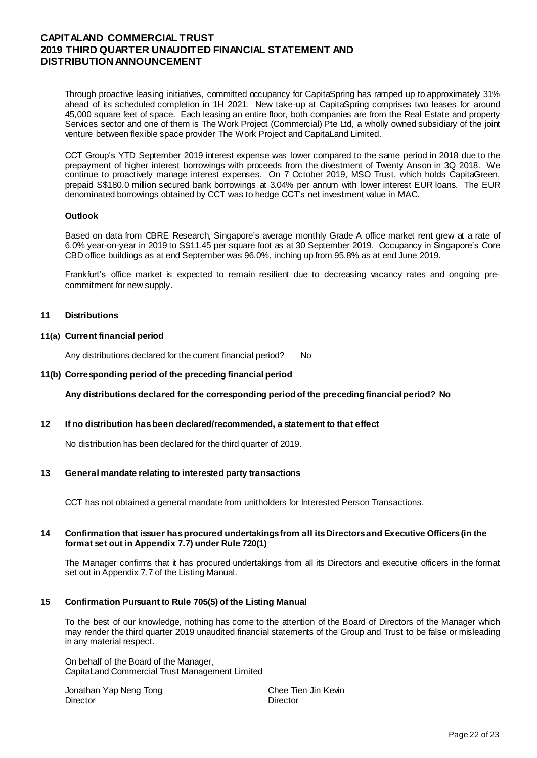Through proactive leasing initiatives, committed occupancy for CapitaSpring has ramped up to approximately 31% ahead of its scheduled completion in 1H 2021. New take-up at CapitaSpring comprises two leases for around 45,000 square feet of space. Each leasing an entire floor, both companies are from the Real Estate and property Services sector and one of them is The Work Project (Commercial) Pte Ltd, a wholly owned subsidiary of the joint venture between flexible space provider The Work Project and CapitaLand Limited.

CCT Group's YTD September 2019 interest expense was lower compared to the same period in 2018 due to the prepayment of higher interest borrowings with proceeds from the divestment of Twenty Anson in 3Q 2018. We continue to proactively manage interest expenses. On 7 October 2019, MSO Trust, which holds CapitaGreen, prepaid S\$180.0 million secured bank borrowings at 3.04% per annum with lower interest EUR loans. The EUR denominated borrowings obtained by CCT was to hedge CCT's net investment value in MAC.

### **Outlook**

Based on data from CBRE Research, Singapore's average monthly Grade A office market rent grew at a rate of 6.0% year-on-year in 2019 to S\$11.45 per square foot as at 30 September 2019. Occupancy in Singapore's Core CBD office buildings as at end September was 96.0%, inching up from 95.8% as at end June 2019.

Frankfurt's office market is expected to remain resilient due to decreasing vacancy rates and ongoing precommitment for new supply.

### **11 Distributions**

## **11(a) Current financial period**

Any distributions declared for the current financial period? No

### **11(b) Corresponding period of the preceding financial period**

### **Any distributions declared for the corresponding period of the preceding financial period? No**

### **12 If no distribution hasbeen declared/recommended, a statement to that effect**

No distribution has been declared for the third quarter of 2019.

### **13 General mandate relating to interested party transactions**

CCT has not obtained a general mandate from unitholders for Interested Person Transactions.

### **14 Confirmation that issuer has procured undertakings from all itsDirectors and Executive Officers (in the format set out in Appendix 7.7) under Rule 720(1)**

The Manager confirms that it has procured undertakings from all its Directors and executive officers in the format set out in Appendix 7.7 of the Listing Manual.

### **15 Confirmation Pursuant to Rule 705(5) of the Listing Manual**

To the best of our knowledge, nothing has come to the attention of the Board of Directors of the Manager which may render the third quarter 2019 unaudited financial statements of the Group and Trust to be false or misleading in any material respect.

On behalf of the Board of the Manager, CapitaLand Commercial Trust Management Limited

Jonathan Yap Neng Tong Chee Tien Jin Kevin Director **Director** Director